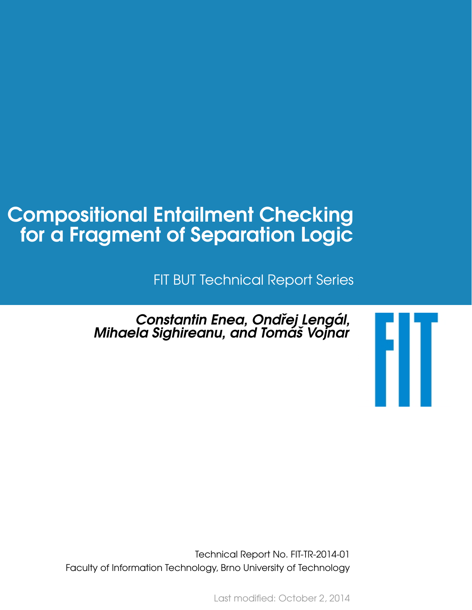# Compositional Entailment Checking for a Fragment of Separation Logic

FIT BUT Technical Report Series

H

Constantin Enea, Ondřej Lengál, Mihaela Sighireanu, and Tomáš Vojnar

Technical Report No. FIT-TR-2014-01 Faculty of Information Technology, Brno University of Technology

Last modified: October 2, 2014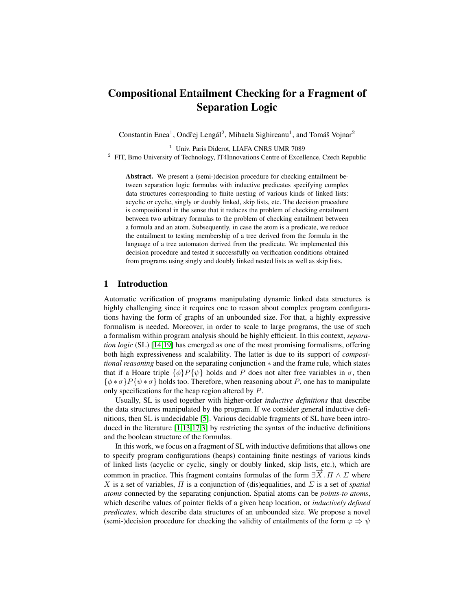## Compositional Entailment Checking for a Fragment of Separation Logic

Constantin Enea<sup>1</sup>, Ondřej Lengál<sup>2</sup>, Mihaela Sighireanu<sup>1</sup>, and Tomáš Vojnar<sup>2</sup>

<sup>1</sup> Univ. Paris Diderot, LIAFA CNRS UMR 7089 <sup>2</sup> FIT, Brno University of Technology, IT4Innovations Centre of Excellence, Czech Republic

Abstract. We present a (semi-)decision procedure for checking entailment between separation logic formulas with inductive predicates specifying complex data structures corresponding to finite nesting of various kinds of linked lists: acyclic or cyclic, singly or doubly linked, skip lists, etc. The decision procedure is compositional in the sense that it reduces the problem of checking entailment between two arbitrary formulas to the problem of checking entailment between a formula and an atom. Subsequently, in case the atom is a predicate, we reduce the entailment to testing membership of a tree derived from the formula in the language of a tree automaton derived from the predicate. We implemented this decision procedure and tested it successfully on verification conditions obtained from programs using singly and doubly linked nested lists as well as skip lists.

## 1 Introduction

Automatic verification of programs manipulating dynamic linked data structures is highly challenging since it requires one to reason about complex program configurations having the form of graphs of an unbounded size. For that, a highly expressive formalism is needed. Moreover, in order to scale to large programs, the use of such a formalism within program analysis should be highly efficient. In this context, *separation logic* (SL) [\[14](#page-21-0)[,19\]](#page-21-1) has emerged as one of the most promising formalisms, offering both high expressiveness and scalability. The latter is due to its support of *compositional reasoning* based on the separating conjunction ∗ and the frame rule, which states that if a Hoare triple  $\{\phi\}P\{\psi\}$  holds and P does not alter free variables in  $\sigma$ , then  ${\phi * \sigma}P{\psi * \sigma}$  holds too. Therefore, when reasoning about P, one has to manipulate only specifications for the heap region altered by P.

Usually, SL is used together with higher-order *inductive definitions* that describe the data structures manipulated by the program. If we consider general inductive definitions, then SL is undecidable [\[5\]](#page-20-0). Various decidable fragments of SL have been introduced in the literature [\[1,](#page-20-1)[13,](#page-21-2)[17,](#page-21-3)[3\]](#page-20-2) by restricting the syntax of the inductive definitions and the boolean structure of the formulas.

In this work, we focus on a fragment of SL with inductive definitions that allows one to specify program configurations (heaps) containing finite nestings of various kinds of linked lists (acyclic or cyclic, singly or doubly linked, skip lists, etc.), which are common in practice. This fragment contains formulas of the form  $\exists \overrightarrow{X}$ .  $\Pi \wedge \Sigma$  where X is a set of variables,  $\Pi$  is a conjunction of (dis)equalities, and  $\Sigma$  is a set of *spatial atoms* connected by the separating conjunction. Spatial atoms can be *points-to atoms*, which describe values of pointer fields of a given heap location, or *inductively defined predicates*, which describe data structures of an unbounded size. We propose a novel (semi-)decision procedure for checking the validity of entailments of the form  $\varphi \Rightarrow \psi$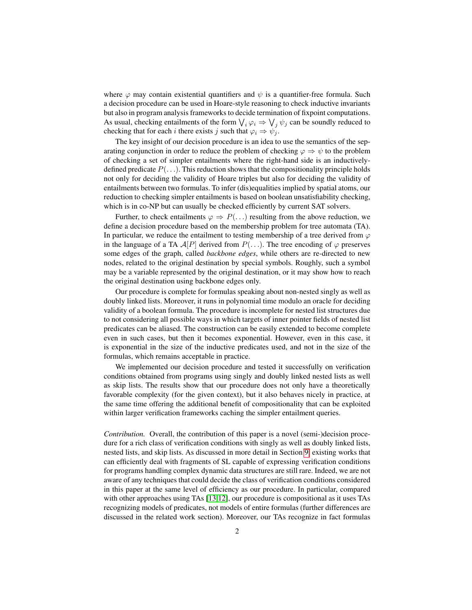where  $\varphi$  may contain existential quantifiers and  $\psi$  is a quantifier-free formula. Such a decision procedure can be used in Hoare-style reasoning to check inductive invariants but also in program analysis frameworks to decide termination of fixpoint computations. As usual, checking entailments of the form  $\bigvee_i \varphi_i \Rightarrow \bigvee_j \psi_j$  can be soundly reduced to checking that for each i there exists j such that  $\varphi_i \Rightarrow \psi_j$ .

The key insight of our decision procedure is an idea to use the semantics of the separating conjunction in order to reduce the problem of checking  $\varphi \Rightarrow \psi$  to the problem of checking a set of simpler entailments where the right-hand side is an inductivelydefined predicate  $P(\ldots)$ . This reduction shows that the compositionality principle holds not only for deciding the validity of Hoare triples but also for deciding the validity of entailments between two formulas. To infer (dis)equalities implied by spatial atoms, our reduction to checking simpler entailments is based on boolean unsatisfiability checking, which is in co-NP but can usually be checked efficiently by current SAT solvers.

Further, to check entailments  $\varphi \Rightarrow P(\ldots)$  resulting from the above reduction, we define a decision procedure based on the membership problem for tree automata (TA). In particular, we reduce the entailment to testing membership of a tree derived from  $\varphi$ in the language of a TA  $\mathcal{A}[P]$  derived from  $P(\ldots)$ . The tree encoding of  $\varphi$  preserves some edges of the graph, called *backbone edges*, while others are re-directed to new nodes, related to the original destination by special symbols. Roughly, such a symbol may be a variable represented by the original destination, or it may show how to reach the original destination using backbone edges only.

Our procedure is complete for formulas speaking about non-nested singly as well as doubly linked lists. Moreover, it runs in polynomial time modulo an oracle for deciding validity of a boolean formula. The procedure is incomplete for nested list structures due to not considering all possible ways in which targets of inner pointer fields of nested list predicates can be aliased. The construction can be easily extended to become complete even in such cases, but then it becomes exponential. However, even in this case, it is exponential in the size of the inductive predicates used, and not in the size of the formulas, which remains acceptable in practice.

We implemented our decision procedure and tested it successfully on verification conditions obtained from programs using singly and doubly linked nested lists as well as skip lists. The results show that our procedure does not only have a theoretically favorable complexity (for the given context), but it also behaves nicely in practice, at the same time offering the additional benefit of compositionality that can be exploited within larger verification frameworks caching the simpler entailment queries.

*Contribution.* Overall, the contribution of this paper is a novel (semi-)decision procedure for a rich class of verification conditions with singly as well as doubly linked lists, nested lists, and skip lists. As discussed in more detail in Section [9,](#page-19-0) existing works that can efficiently deal with fragments of SL capable of expressing verification conditions for programs handling complex dynamic data structures are still rare. Indeed, we are not aware of any techniques that could decide the class of verification conditions considered in this paper at the same level of efficiency as our procedure. In particular, compared with other approaches using TAs [\[13](#page-21-2)[,12\]](#page-21-4), our procedure is compositional as it uses TAs recognizing models of predicates, not models of entire formulas (further differences are discussed in the related work section). Moreover, our TAs recognize in fact formulas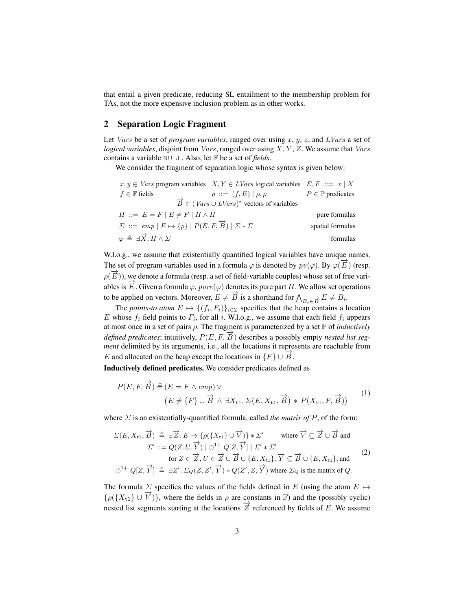that entail a given predicate, reducing SL entailment to the membership problem for TAs, not the more expensive inclusion problem as in other works.

## <span id="page-4-1"></span>2 Separation Logic Fragment

Let *Vars* be a set of *program variables*, ranged over using  $x, y, z$ , and *LVars* a set of *logical variables*, disjoint from Vars, ranged over using X, Y , Z. We assume that Vars contains a variable NULL. Also, let F be a set of *fields*.

We consider the fragment of separation logic whose syntax is given below:

|                                                                                     | $x, y \in Vars$ program variables $X, Y \in LVars$ logical variables $E, F ::= x \mid X$ |                               |
|-------------------------------------------------------------------------------------|------------------------------------------------------------------------------------------|-------------------------------|
| $f \in \mathbb{F}$ fields                                                           | $\rho ::= (f, E)   \rho, \rho$                                                           | $P \in \mathbb{P}$ predicates |
|                                                                                     | $\overrightarrow{B} \in (Vars \cup LVars)^*$ vectors of variables                        |                               |
| $\Pi ::= E = F   E \neq F   \Pi \wedge \Pi$                                         |                                                                                          | pure formulas                 |
| $\Sigma ::= emp   E \mapsto {\rho}   P(E, F, \overrightarrow{B})   \Sigma * \Sigma$ |                                                                                          | spatial formulas              |
| $\varphi \triangleq \exists \vec{X}.\Pi \wedge \Sigma$                              |                                                                                          | formulas                      |

W.l.o.g., we assume that existentially quantified logical variables have unique names. The set of program variables used in a formula  $\varphi$  is denoted by  $pv(\varphi)$ . By  $\varphi(\overrightarrow{E})$  (resp.  $\rho(\vec{E})$ ), we denote a formula (resp. a set of field-variable couples) whose set of free vari-<br> $\rho(\vec{E})$ ), we denote a formula (resp. a set of field-variable couples) whose set of free variables is  $\overrightarrow{E}$ . Given a formula  $\varphi$ ,  $pure(\varphi)$  denotes its pure part  $\Pi$ . We allow set operations to be applied on vectors. Moreover,  $E \neq \overrightarrow{B}$  is a shorthand for  $\bigwedge_{B_i \in \overrightarrow{B}} E \neq B_i$ .

The *points-to atom*  $E \mapsto \{(f_i, F_i)\}_{i \in \mathcal{I}}$  specifies that the heap contains a location E whose  $f_i$  field points to  $F_i$ , for all i. W.l.o.g., we assume that each field  $f_i$  appears at most once in a set of pairs ρ. The fragment is parameterized by a set P of *inductively defined predicates*; intuitively,  $P(E, F, \overrightarrow{B})$  describes a possibly empty *nested list segment* delimited by its arguments, i.e., all the locations it represents are reachable from E and allocated on the heap except the locations in  $\{F\} \cup \vec{B}$ .

Inductively defined predicates. We consider predicates defined as

<span id="page-4-2"></span>
$$
P(E, F, \overrightarrow{B}) \triangleq (E = F \wedge emp) \vee
$$
  

$$
(E \neq \{F\} \cup \overrightarrow{B} \wedge \exists X_{\text{tl}}. \Sigma(E, X_{\text{tl}}, \overrightarrow{B}) * P(X_{\text{tl}}, F, \overrightarrow{B}))
$$
 (1)

where  $\Sigma$  is an existentially-quantified formula, called *the matrix of*  $P$ , of the form:

<span id="page-4-0"></span>
$$
\Sigma(E, X_{\text{tl}}, \overrightarrow{B}) \triangleq \exists \overrightarrow{Z}. E \mapsto \{\rho(\{X_{\text{tl}}\} \cup \overrightarrow{V})\} * \Sigma' \quad \text{where } \overrightarrow{V} \subseteq \overrightarrow{Z} \cup \overrightarrow{B} \text{ and}
$$
  
\n
$$
\Sigma' ::= Q(Z, U, \overrightarrow{Y}) \mid \bigcirc^{1+} Q[Z, \overrightarrow{Y}] \mid \Sigma' * \Sigma'
$$
  
\nfor  $Z \in \overrightarrow{Z}. U \in \overrightarrow{Z} \cup \overrightarrow{B} \cup \{E, X_{\text{tl}}\}, \overrightarrow{Y} \subseteq \overrightarrow{B} \cup \{E, X_{\text{tl}}\}, \text{and}$   
\n
$$
\bigcirc^{1+} Q[Z, \overrightarrow{Y}] \triangleq \exists Z'. \Sigma_Q(Z, Z', \overrightarrow{Y}) * Q(Z', Z, \overrightarrow{Y}) \text{ where } \Sigma_Q \text{ is the matrix of } Q.
$$
 (2)

The formula  $\Sigma$  specifies the values of the fields defined in E (using the atom  $E \mapsto$  $\{\rho(\lbrace X_{t1}\rbrace \cup \overrightarrow{V}\rbrace\}$ , where the fields in  $\rho$  are constants in F) and the (possibly cyclic) nested list segments starting at the locations  $\overrightarrow{Z}$  referenced by fields of E. We assume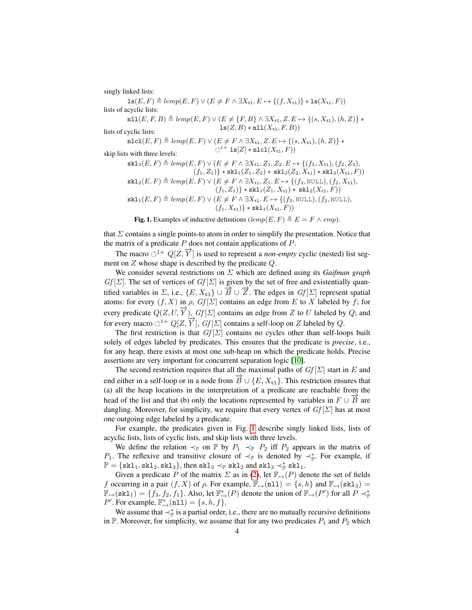singly linked lists:

 $\text{ls}(E, F) \triangleq \text{temp}(E, F) \vee (E \neq F \wedge \exists X_{t1}. E \mapsto \{(f, X_{t1})\} * \text{ls}(X_{t1}, F))$ lists of acyclic lists:  $\texttt{nil}(E, F, B) \triangleq \textit{temp}(E, F) \vee (E \neq \{F, B\} \wedge \exists X_{t1}, Z, E \mapsto \{(s, X_{t1}), (h, Z)\} *$ lists of cyclic lists:  $\text{ls}(Z, B) * \text{nll}(X_{t1}, F, B))$  $\texttt{nlcl}(E, F) \triangleq \textit{temp}(E, F) \vee (E \neq F \wedge \exists X_{t1}, Z. E \mapsto \{(s, X_{t1}), (h, Z)\} *$ skip lists with three levels:  $\circlearrowleft^{1+} \texttt{ls}[Z] * \texttt{nlcl}(X_{t1}, F)$  $\texttt{skl}_3(E, F) \triangleq \textit{temp}(E, F) \vee (E \neq F \wedge \exists X_{t1}, Z_1, Z_2. E \mapsto \{(f_3, X_{t1}), (f_2, Z_2),$  $(f_1, Z_1)$  \* skl $_1(Z_1, Z_2)$  \* skl $_2(Z_2, X_{t1})$  \* skl $_3(X_{t1}, F)$ )  $\texttt{skl}_2(E, F) \triangleq \textit{temp}(E, F) \vee (E \neq F \wedge \exists X_{\texttt{tl}}, Z_1.E \mapsto \{(f_3, \texttt{NULL}), (f_2, X_{\texttt{tl}}),$  $(f_1, Z_1)$  \* skl $_1(Z_1, X_{t1})$  \* skl $_2(X_{t1}, F)$ )  $\texttt{skl}_1(E, F) \triangleq \textit{temp}(E, F) \vee (E \neq F \wedge \exists X_{t1}. E \mapsto \{(f_3, \texttt{NULL}), (f_2, \texttt{NULL}),$  $(f_1, X_{t1})$  \* skl $_1(X_{t1}, F)$ )

<span id="page-5-0"></span>**Fig. 1.** Examples of inductive definitions  $(\text{temp}(E, F) \triangleq E = F \wedge \text{emp}).$ 

that  $\Sigma$  contains a single points-to atom in order to simplify the presentation. Notice that the matrix of a predicate  $P$  does not contain applications of  $P$ .

The macro  $(1 + Q[Z, \overline{Y}]$  is used to represent a *non-empty* cyclic (nested) list segment on  $Z$  whose shape is described by the predicate  $Q$ .

We consider several restrictions on Σ which are defined using its *Gaifman graph*  $Gf[\Sigma]$ . The set of vertices of  $Gf[\Sigma]$  is given by the set of free and existentially quantified variables in  $\Sigma$ , i.e.,  $\{E, X_{t1}\} \cup \overrightarrow{B} \cup \overrightarrow{Z}$ . The edges in  $Gf[\Sigma]$  represent spatial atoms: for every  $(f, X)$  in  $\rho$ ,  $Gf[\Sigma]$  contains an edge from E to X labeled by f; for every predicate  $Q(Z, U, \overrightarrow{Y})$ ,  $Gf[\Sigma]$  contains an edge from Z to U labeled by Q; and for every macro  $\circ^{1+} Q[Z, \overrightarrow{Y}]$ ,  $Gf[\Sigma]$  contains a self-loop on Z labeled by Q.

The first restriction is that  $Gf[\Sigma]$  contains no cycles other than self-loops built solely of edges labeled by predicates. This ensures that the predicate is *precise*, i.e., for any heap, there exists at most one sub-heap on which the predicate holds. Precise assertions are very important for concurrent separation logic [\[10\]](#page-21-5).

The second restriction requires that all the maximal paths of  $Gf[\Sigma]$  start in E and end either in a self-loop or in a node from  $\vec{B} \cup \{E, X_{t1}\}\$ . This restriction ensures that (a) all the heap locations in the interpretation of a predicate are reachable from the head of the list and that (b) only the locations represented by variables in  $F \cup \overrightarrow{B}$  are dangling. Moreover, for simplicity, we require that every vertex of  $Gf[\Sigma]$  has at most one outgoing edge labeled by a predicate.

For example, the predicates given in Fig. [1](#page-5-0) describe singly linked lists, lists of acyclic lists, lists of cyclic lists, and skip lists with three levels.

We define the relation  $\prec_{\mathbb{P}}$  on  $\mathbb{P}$  by  $P_1 \prec_{\mathbb{P}} P_2$  iff  $P_2$  appears in the matrix of P<sub>1</sub>. The reflexive and transitive closure of  $\prec_{\mathbb{P}}$  is denoted by  $\prec_{\mathbb{P}}^*$ . For example, if  $\mathbb{P} = \{ \texttt{skl}_1, \texttt{skl}_2, \texttt{skl}_3 \}, \text{ then } \texttt{skl}_3 \prec_{\mathbb{P}} \texttt{skl}_2 \text{ and } \texttt{skl}_3 \prec_{\mathbb{P}}^* \texttt{skl}_1.$ 

Given a predicate P of the matrix  $\Sigma$  as in [\(2\)](#page-4-0), let  $\mathbb{F}_{\mapsto}(P)$  denote the set of fields f occurring in a pair  $(f, X)$  of  $\rho$ . For example,  $\mathbb{F}_{\mapsto}(\texttt{nll}) = \{s, h\}$  and  $\mathbb{F}_{\mapsto}(\texttt{skl}_3) =$  $\mathbb{F}_{\mapsto}(\text{skl}_1) = \{f_3, f_2, f_1\}.$  Also, let  $\mathbb{F}_{\mapsto}^*(P)$  denote the union of  $\mathbb{F}_{\mapsto}(P')$  for all  $P \prec_{\mathbb{P}}^*$ P'. For example,  $\mathbb{F}_{\mapsto}^*$  (n11) = {s, h, f}.

We assume that  $\prec_{\mathbb{P}}^*$  is a partial order, i.e., there are no mutually recursive definitions in P. Moreover, for simplicity, we assume that for any two predicates  $P_1$  and  $P_2$  which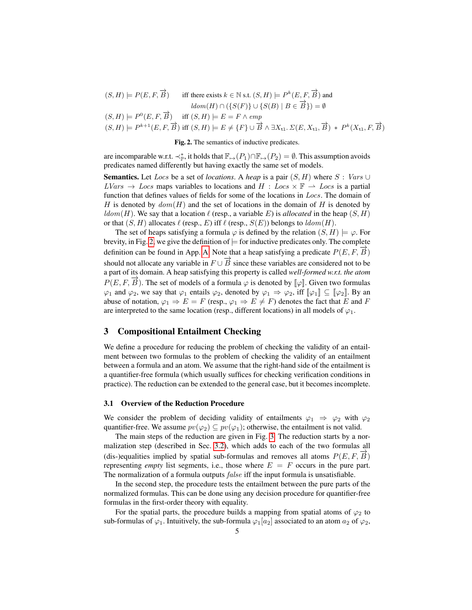$$
(S, H) \models P(E, F, \overrightarrow{B}) \quad \text{iff there exists } k \in \mathbb{N} \text{ s.t. } (S, H) \models P^k(E, F, \overrightarrow{B}) \text{ and}
$$

$$
ldom(H) \cap (\{S(F)\} \cup \{S(B) \mid B \in \overrightarrow{B}\}) = \emptyset
$$

$$
(S, H) \models P^0(E, F, \overrightarrow{B}) \quad \text{iff } (S, H) \models E = F \land emp
$$

$$
(S, H) \models P^{k+1}(E, F, \overrightarrow{B}) \text{ iff } (S, H) \models E \neq \{F\} \cup \overrightarrow{B} \land \exists X_{\text{tl}}. \Sigma(E, X_{\text{tl}}, \overrightarrow{B}) * P^k(X_{\text{tl}}, F, \overrightarrow{B})
$$

<span id="page-6-0"></span>Fig. 2. The semantics of inductive predicates.

are incomparable w.r.t.  $\prec_{\mathbb{P}}^*$ , it holds that  $\mathbb{F}_{\mapsto}(P_1) \cap \mathbb{F}_{\mapsto}(P_2) = \emptyset$ . This assumption avoids predicates named differently but having exactly the same set of models.

**Semantics.** Let *Locs* be a set of *locations*. A *heap* is a pair  $(S, H)$  where  $S : Vars \cup$  $LVars \rightarrow Loss$  maps variables to locations and  $H : Loss \times \mathbb{F} \rightarrow Loss$  is a partial function that defines values of fields for some of the locations in Locs. The domain of H is denoted by  $dom(H)$  and the set of locations in the domain of H is denoted by *ldom*(*H*). We say that a location  $\ell$  (resp., a variable *E*) is *allocated* in the heap (*S*, *H*) or that  $(S, H)$  allocates  $\ell$  (resp., E) iff  $\ell$  (resp.,  $S(E)$ ) belongs to  $ldom(H)$ .

The set of heaps satisfying a formula  $\varphi$  is defined by the relation  $(S, H) \models \varphi$ . For brevity, in Fig. [2,](#page-6-0) we give the definition of  $\models$  for inductive predicates only. The complete definition can be found in App. [A.](#page-22-0) Note that a heap satisfying a predicate  $P(E, F, \overrightarrow{B})$ should not allocate any variable in  $F \cup \overrightarrow{B}$  since these variables are considered not to be a part of its domain. A heap satisfying this property is called *well-formed w.r.t. the atom*  $P(E, F, \overrightarrow{B})$ . The set of models of a formula  $\varphi$  is denoted by  $[\varphi]$ . Given two formulas  $\varphi_1$  and  $\varphi_2$ , we say that  $\varphi_1$  entails  $\varphi_2$ , denoted by  $\varphi_1 \Rightarrow \varphi_2$ , iff  $[\varphi_1] \subseteq [\varphi_2]$ . By an abuse of notation,  $\varphi_1 \Rightarrow E = F$  (resp.,  $\varphi_1 \Rightarrow E \neq F$ ) denotes the fact that E and F are interpreted to the same location (resp., different locations) in all models of  $\varphi_1$ .

## 3 Compositional Entailment Checking

We define a procedure for reducing the problem of checking the validity of an entailment between two formulas to the problem of checking the validity of an entailment between a formula and an atom. We assume that the right-hand side of the entailment is a quantifier-free formula (which usually suffices for checking verification conditions in practice). The reduction can be extended to the general case, but it becomes incomplete.

#### 3.1 Overview of the Reduction Procedure

We consider the problem of deciding validity of entailments  $\varphi_1 \Rightarrow \varphi_2$  with  $\varphi_2$ quantifier-free. We assume  $pv(\varphi_2) \subseteq pv(\varphi_1)$ ; otherwise, the entailment is not valid.

The main steps of the reduction are given in Fig. [3.](#page-7-0) The reduction starts by a normalization step (described in Sec. [3.2\)](#page-9-0), which adds to each of the two formulas all (dis-)equalities implied by spatial sub-formulas and removes all atoms  $P(E, F, \overrightarrow{B})$ representing *empty* list segments, i.e., those where  $E = F$  occurs in the pure part. The normalization of a formula outputs *false* iff the input formula is unsatisfiable.

In the second step, the procedure tests the entailment between the pure parts of the normalized formulas. This can be done using any decision procedure for quantifier-free formulas in the first-order theory with equality.

For the spatial parts, the procedure builds a mapping from spatial atoms of  $\varphi_2$  to sub-formulas of  $\varphi_1$ . Intuitively, the sub-formula  $\varphi_1[a_2]$  associated to an atom  $a_2$  of  $\varphi_2$ ,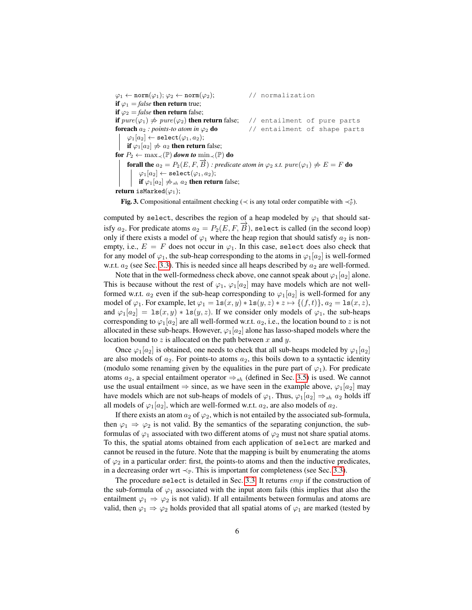```
\varphi_1 \leftarrow \texttt{norm}(\varphi_1); \varphi_2 \leftarrow \texttt{norm}(\varphi_2); // normalization
if \varphi_1 = false then return true;
if \varphi_2 = false then return false;
if pure(\varphi_1) \neq pure(\varphi_2) then return false; // entailment of pure parts
foreach a_2 : points-to atom in \varphi_2 do // entailment of shape parts
      \varphi_1[a_2] \leftarrow \texttt{select}(\varphi_1, a_2);if \varphi_1[a_2] \neq a_2 then return false;
for P_2 \leftarrow \max_{\prec}(\mathbb{P}) down to \min_{\prec}(\mathbb{P}) do
      forall the a_2 = P_2(E, F, \overrightarrow{B}) : predicate atom in \varphi_2 s.t. pure(\varphi_1) \nRightarrow E = F do
           \varphi_1[a_2] \leftarrow \mathtt{select}(\varphi_1, a_2);if \varphi_1[a_2] \neq_{sh} a_2 then return false;
return isMarked(\varphi_1);
```
<span id="page-7-0"></span>**Fig. 3.** Compositional entailment checking ( $\prec$  is any total order compatible with  $\prec^*_{\mathbb{P}}$ ).

computed by select, describes the region of a heap modeled by  $\varphi_1$  that should satisfy  $a_2$ . For predicate atoms  $a_2 = P_2(E, F, \overrightarrow{B})$ , select is called (in the second loop) only if there exists a model of  $\varphi_1$  where the heap region that should satisfy  $a_2$  is nonempty, i.e.,  $E = F$  does not occur in  $\varphi_1$ . In this case, select does also check that for any model of  $\varphi_1$ , the sub-heap corresponding to the atoms in  $\varphi_1[a_2]$  is well-formed w.r.t.  $a_2$  (see Sec. [3.3\)](#page-10-0). This is needed since all heaps described by  $a_2$  are well-formed.

Note that in the well-formedness check above, one cannot speak about  $\varphi_1[a_2]$  alone. This is because without the rest of  $\varphi_1$ ,  $\varphi_1[a_2]$  may have models which are not wellformed w.r.t.  $a_2$  even if the sub-heap corresponding to  $\varphi_1|a_2|$  is well-formed for any model of  $\varphi_1$ . For example, let  $\varphi_1 = \text{ls}(x, y) * \text{ls}(y, z) * z \mapsto \{(f, t)\}, a_2 = \text{ls}(x, z),$ and  $\varphi_1[a_2] = \text{ls}(x, y) * \text{ls}(y, z)$ . If we consider only models of  $\varphi_1$ , the sub-heaps corresponding to  $\varphi_1[a_2]$  are all well-formed w.r.t.  $a_2$ , i.e., the location bound to z is not allocated in these sub-heaps. However,  $\varphi_1[a_2]$  alone has lasso-shaped models where the location bound to  $z$  is allocated on the path between  $x$  and  $y$ .

Once  $\varphi_1[a_2]$  is obtained, one needs to check that all sub-heaps modeled by  $\varphi_1[a_2]$ are also models of  $a_2$ . For points-to atoms  $a_2$ , this boils down to a syntactic identity (modulo some renaming given by the equalities in the pure part of  $\varphi_1$ ). For predicate atoms  $a_2$ , a special entailment operator  $\Rightarrow_{sh}$  (defined in Sec. [3.5\)](#page-11-0) is used. We cannot use the usual entailment  $\Rightarrow$  since, as we have seen in the example above,  $\varphi_1[a_2]$  may have models which are not sub-heaps of models of  $\varphi_1$ . Thus,  $\varphi_1[a_2] \Rightarrow_{sh} a_2$  holds iff all models of  $\varphi_1[a_2]$ , which are well-formed w.r.t.  $a_2$ , are also models of  $a_2$ .

If there exists an atom  $a_2$  of  $\varphi_2$ , which is not entailed by the associated sub-formula, then  $\varphi_1 \Rightarrow \varphi_2$  is not valid. By the semantics of the separating conjunction, the subformulas of  $\varphi_1$  associated with two different atoms of  $\varphi_2$  must not share spatial atoms. To this, the spatial atoms obtained from each application of select are marked and cannot be reused in the future. Note that the mapping is built by enumerating the atoms of  $\varphi_2$  in a particular order: first, the points-to atoms and then the inductive predicates, in a decreasing order wrt  $\prec_{\mathbb{P}}$ . This is important for completeness (see Sec. [3.3\)](#page-10-0).

The procedure select is detailed in Sec. [3.3.](#page-10-0) It returns emp if the construction of the sub-formula of  $\varphi_1$  associated with the input atom fails (this implies that also the entailment  $\varphi_1 \Rightarrow \varphi_2$  is not valid). If all entailments between formulas and atoms are valid, then  $\varphi_1 \Rightarrow \varphi_2$  holds provided that all spatial atoms of  $\varphi_1$  are marked (tested by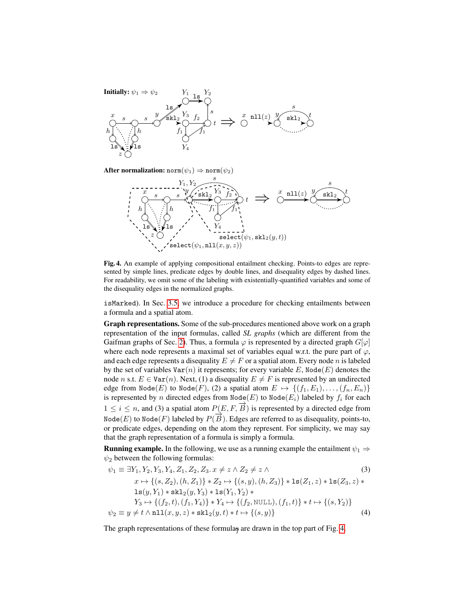

After normalization:  $norm(\psi_1) \Rightarrow norm(\psi_2)$ 



<span id="page-8-0"></span>Fig. 4. An example of applying compositional entailment checking. Points-to edges are represented by simple lines, predicate edges by double lines, and disequality edges by dashed lines. For readability, we omit some of the labeling with existentially-quantified variables and some of the disequality edges in the normalized graphs.

isMarked). In Sec. [3.5,](#page-11-0) we introduce a procedure for checking entailments between a formula and a spatial atom.

Graph representations. Some of the sub-procedures mentioned above work on a graph representation of the input formulas, called *SL graphs* (which are different from the Gaifman graphs of Sec. [2\)](#page-4-1). Thus, a formula  $\varphi$  is represented by a directed graph  $G[\varphi]$ where each node represents a maximal set of variables equal w.r.t. the pure part of  $\varphi$ , and each edge represents a disequality  $E \neq F$  or a spatial atom. Every node n is labeled by the set of variables  $Var(n)$  it represents; for every variable E, Node(E) denotes the node n s.t.  $E \in \text{Var}(n)$ . Next, (1) a disequality  $E \neq F$  is represented by an undirected edge from  $\text{Node}(E)$  to  $\text{Node}(F)$ , (2) a spatial atom  $E \mapsto \{(f_1, E_1), \ldots, (f_n, E_n)\}\$ is represented by n directed edges from  $\text{Node}(E)$  to  $\text{Node}(E_i)$  labeled by  $f_i$  for each  $1 \le i \le n$ , and (3) a spatial atom  $P(E, F, \overrightarrow{B})$  is represented by a directed edge from Node(E) to Node(F) labeled by  $P(\overrightarrow{B})$ . Edges are referred to as disequality, points-to, or predicate edges, depending on the atom they represent. For simplicity, we may say that the graph representation of a formula is simply a formula.

**Running example.** In the following, we use as a running example the entailment  $\psi_1 \Rightarrow$  $\psi_2$  between the following formulas:

<span id="page-8-1"></span>
$$
\psi_1 \equiv \exists Y_1, Y_2, Y_3, Y_4, Z_1, Z_2, Z_3. x \neq z \land Z_2 \neq z \land (3)
$$
  
\n
$$
x \mapsto \{(s, Z_2), (h, Z_1)\} * Z_2 \mapsto \{(s, y), (h, Z_3)\} * \text{ls}(Z_1, z) * \text{ls}(Z_3, z) *\n\text{ls}(y, Y_1) * \text{skl}_2(y, Y_3) * \text{ls}(Y_1, Y_2) *\nY_3 \mapsto \{(f_2, t), (f_1, Y_4)\} * Y_4 \mapsto \{(f_2, \text{NULL}), (f_1, t)\} * t \mapsto \{(s, Y_2)\} \n\psi_2 \equiv y \neq t \land \text{nll}(x, y, z) * \text{skl}_2(y, t) * t \mapsto \{(s, y)\}
$$
\n(4)

The graph representations of these formulas are drawn in the top part of Fig. [4.](#page-8-0)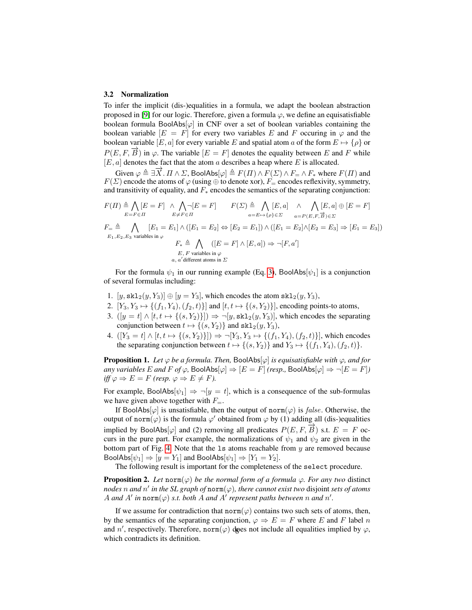#### <span id="page-9-0"></span>3.2 Normalization

To infer the implicit (dis-)equalities in a formula, we adapt the boolean abstraction proposed in [\[9\]](#page-21-6) for our logic. Therefore, given a formula  $\varphi$ , we define an equisatisfiable boolean formula BoolAbs[ $\varphi$ ] in CNF over a set of boolean variables containing the boolean variable  $[E = F]$  for every two variables E and F occuring in  $\varphi$  and the boolean variable [E, a] for every variable E and spatial atom a of the form  $E \mapsto {\rho}$  or  $P(E, F, \overrightarrow{B})$  in  $\varphi$ . The variable  $[E = F]$  denotes the equality between E and F while  $[E, a]$  denotes the fact that the atom a describes a heap where E is allocated.

Given  $\varphi \triangleq \exists \overline{X}$ .  $\Pi \wedge \Sigma$ , BoolAbs $[\varphi] \triangleq F(\Pi) \wedge F(\Sigma) \wedge F_{\equiv} \wedge F_{*}$  where  $F(\Pi)$  and  $F(\Sigma)$  encode the atoms of  $\varphi$  (using  $\oplus$  to denote xor),  $F_{\equiv}$  encodes reflexivity, symmetry, and transitivity of equality, and  $F_*$  encodes the semantics of the separating conjunction:

$$
F(\Pi) \triangleq \bigwedge_{E=F \in \Pi} [E = F] \wedge \bigwedge_{E \neq F \in \Pi} [E = F] \qquad F(\Sigma) \triangleq \bigwedge_{a=E \mapsto \{\rho\} \in \Sigma} [E, a] \wedge \bigwedge_{a=P(E, F, \overrightarrow{B}) \in \Sigma} [E = F]
$$
\n
$$
F_{\equiv} \triangleq \bigwedge_{E_1, E_2, E_3} [E_1 = E_1] \wedge ([E_1 = E_2] \Leftrightarrow [E_2 = E_1]) \wedge ([E_1 = E_2] \wedge [E_2 = E_3] \Rightarrow [E_1 = E_3])
$$
\n
$$
F_* \triangleq \bigwedge_{a, a'} ([E = F] \wedge [E, a]) \Rightarrow \neg [F, a']
$$
\n
$$
E, F \text{ variables in } \varphi
$$
\n
$$
a, a' \text{ different atoms in } \Sigma
$$

For the formula  $\psi_1$  in our running example (Eq. [3\)](#page-8-1), BoolAbs[ $\psi_1$ ] is a conjunction of several formulas including:

- 1.  $[y, \text{skl}_2(y, Y_3)] \oplus [y = Y_3]$ , which encodes the atom  $\text{skl}_2(y, Y_3)$ ,
- 2.  $[Y_3, Y_3 \mapsto \{(f_1, Y_4), (f_2, t)\}]$  and  $[t, t \mapsto \{(s, Y_2)\}]$ , encoding points-to atoms,
- 3.  $([y = t] \wedge [t, t \mapsto \{(s, Y_2)\}]) \Rightarrow \neg [y, \text{skl}_2(y, Y_3)],$  which encodes the separating conjunction between  $t \mapsto \{(s, Y_2)\}\$ and  $\mathtt{skl}_2(y, Y_3)$ ,
- 4.  $([Y_3 = t] \wedge [t, t \mapsto \{(s, Y_2)\}]) \Rightarrow \neg [Y_3, Y_3 \mapsto \{(f_1, Y_4), (f_2, t)\}],$  which encodes the separating conjunction between  $t \mapsto \{(s, Y_2)\}\$ and  $Y_3 \mapsto \{(f_1, Y_4), (f_2, t)\}.$

<span id="page-9-1"></span>**Proposition 1.** Let  $\varphi$  be a formula. Then, BoolAbs[ $\varphi$ ] is equisatisfiable with  $\varphi$ , and for *any variables* E and F of  $\varphi$ , BoolAbs $[\varphi] \Rightarrow [E = F]$  *(resp.,* BoolAbs $[\varphi] \Rightarrow \neg [E = F]$ *)*  $iff \varphi \Rightarrow E = F$  (resp.  $\varphi \Rightarrow E \neq F$ ).

For example, BoolAbs $[\psi_1] \Rightarrow \neg [y = t]$ , which is a consequence of the sub-formulas we have given above together with  $F_{=}$ .

If BoolAbs[ $\varphi$ ] is unsatisfiable, then the output of norm $(\varphi)$  is *false*. Otherwise, the output of norm( $\varphi$ ) is the formula  $\varphi'$  obtained from  $\varphi$  by (1) adding all (dis-)equalities implied by BoolAbs[ $\varphi$ ] and (2) removing all predicates  $P(E, F, \overrightarrow{B})$  s.t.  $E = F$  occurs in the pure part. For example, the normalizations of  $\psi_1$  and  $\psi_2$  are given in the bottom part of Fig. [4.](#page-8-0) Note that the  $\text{ls}$  atoms reachable from  $y$  are removed because BoolAbs $[\psi_1] \Rightarrow [y = Y_1]$  and BoolAbs $[\psi_1] \Rightarrow [Y_1 = Y_2]$ .

<span id="page-9-2"></span>The following result is important for the completeness of the select procedure.

**Proposition 2.** Let norm $(\varphi)$  be the normal form of a formula  $\varphi$ . For any two distinct *nodes*  $n$  *and*  $n'$  *in the SL graph of*  $\texttt{norm}(\varphi)$ *, there cannot exist two disjoint sets of atoms* A and A' in  $\text{norm}(\varphi)$  *s.t. both* A and A' represent paths between n and n'.

If we assume for contradiction that  $norm(\varphi)$  contains two such sets of atoms, then, by the semantics of the separating conjunction,  $\varphi \Rightarrow E = F$  where E and F label n and n', respectively. Therefore, norm $(\varphi)$  does not include all equalities implied by  $\varphi$ , which contradicts its definition.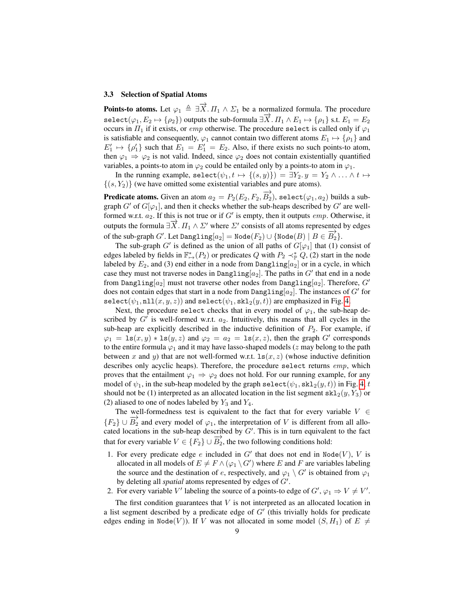#### <span id="page-10-0"></span>3.3 Selection of Spatial Atoms

**Points-to atoms.** Let  $\varphi_1 \triangleq \exists \vec{X}$ .  $\Pi_1 \wedge \Sigma_1$  be a normalized formula. The procedure select( $\varphi_1$ ,  $E_2 \mapsto \{\rho_2\}$ ) outputs the sub-formula  $\exists \overrightarrow{X}$ .  $\Pi_1 \wedge E_1 \mapsto \{\rho_1\}$  s.t.  $E_1 = E_2$ occurs in  $\Pi_1$  if it exists, or *emp* otherwise. The procedure select is called only if  $\varphi_1$ is satisfiable and consequently,  $\varphi_1$  cannot contain two different atoms  $E_1 \mapsto {\rho_1}$  and  $E_1' \mapsto {\rho_1'}$  such that  $E_1 = E_1' = E_2$ . Also, if there exists no such points-to atom, then  $\varphi_1 \Rightarrow \varphi_2$  is not valid. Indeed, since  $\varphi_2$  does not contain existentially quantified variables, a points-to atom in  $\varphi_2$  could be entailed only by a points-to atom in  $\varphi_1$ .

In the running example, select $(\psi_1, t \mapsto \{(s, y)\}) = \exists Y_2 \cdot y = Y_2 \wedge \ldots \wedge t \mapsto$  $\{(s, Y_2)\}$  (we have omitted some existential variables and pure atoms).

**Predicate atoms.** Given an atom  $a_2 = P_2(E_2, F_2, \overrightarrow{B_2})$ , select $(\varphi_1, a_2)$  builds a subgraph  $G'$  of  $G[\varphi_1]$ , and then it checks whether the sub-heaps described by  $G'$  are wellformed w.r.t.  $a_2$ . If this is not true or if  $G'$  is empty, then it outputs  $emp$ . Otherwise, it outputs the formula  $\exists \overline{X}$ . Π<sub>1</sub> ∧ Σ' where Σ' consists of all atoms represented by edges of the sub-graph G'. Let  $\text{Dangling}[a_2] = \text{Node}(F_2) \cup \{\text{Node}(B) \mid B \in \overrightarrow{B_2}\}.$ 

The sub-graph G' is defined as the union of all paths of  $G[\varphi_1]$  that (1) consist of edges labeled by fields in  $\mathbb{F}^*_{\to}(P_2)$  or predicates Q with  $P_2 \prec_{\mathbb{P}}^* Q$ , (2) start in the node labeled by  $E_2$ , and (3) end either in a node from Dangling[ $a_2$ ] or in a cycle, in which case they must not traverse nodes in Dangling $[a_2]$ . The paths in  $G'$  that end in a node from Dangling $[a_2]$  must not traverse other nodes from Dangling $[a_2]$ . Therefore,  $G'$ does not contain edges that start in a node from  $\text{Dangling}[a_2]$ . The instances of  $G'$  for select( $\psi_1$ , nll $(x, y, z)$ ) and select( $\psi_1$ , skl $_2(y, t)$ ) are emphasized in Fig. [4.](#page-8-0)

Next, the procedure select checks that in every model of  $\varphi_1$ , the sub-heap described by  $G'$  is well-formed w.r.t.  $a_2$ . Intuitively, this means that all cycles in the sub-heap are explicitly described in the inductive definition of  $P_2$ . For example, if  $\varphi_1 = \text{ls}(x, y) * \text{ls}(y, z)$  and  $\varphi_2 = a_2 = \text{ls}(x, z)$ , then the graph G' corresponds to the entire formula  $\varphi_1$  and it may have lasso-shaped models (z may belong to the path between x and y) that are not well-formed w.r.t.  $\text{ls}(x, z)$  (whose inductive definition describes only acyclic heaps). Therefore, the procedure select returns *emp*, which proves that the entailment  $\varphi_1 \Rightarrow \varphi_2$  does not hold. For our running example, for any model of  $\psi_1$ , in the sub-heap modeled by the graph select  $(\psi_1, \text{skl}_2(y, t))$  in Fig. [4,](#page-8-0) t should not be (1) interpreted as an allocated location in the list segment  $\text{skl}_2(y, Y_3)$  or (2) aliased to one of nodes labeled by  $Y_3$  and  $Y_4$ .

The well-formedness test is equivalent to the fact that for every variable  $V \in$  ${F_2} \cup B'_2$  and every model of  $\varphi_1$ , the interpretation of V is different from all allocated locations in the sub-heap described by  $G'$ . This is in turn equivalent to the fact that for every variable  $V \in \{F_2\} \cup \overline{B_2}$ , the two following conditions hold:

- 1. For every predicate edge  $e$  included in  $G'$  that does not end in Node(V), V is allocated in all models of  $E \neq F \wedge (\varphi_1 \setminus G')$  where E and F are variables labeling the source and the destination of e, respectively, and  $\varphi_1 \setminus G'$  is obtained from  $\varphi_1$ by deleting all *spatial* atoms represented by edges of  $G'$ .
- 2. For every variable V' labeling the source of a points-to edge of  $G', \varphi_1 \Rightarrow V \neq V'.$

The first condition guarantees that  $V$  is not interpreted as an allocated location in a list segment described by a predicate edge of  $G'$  (this trivially holds for predicate edges ending in Node(V)). If V was not allocated in some model  $(S, H_1)$  of  $E \neq$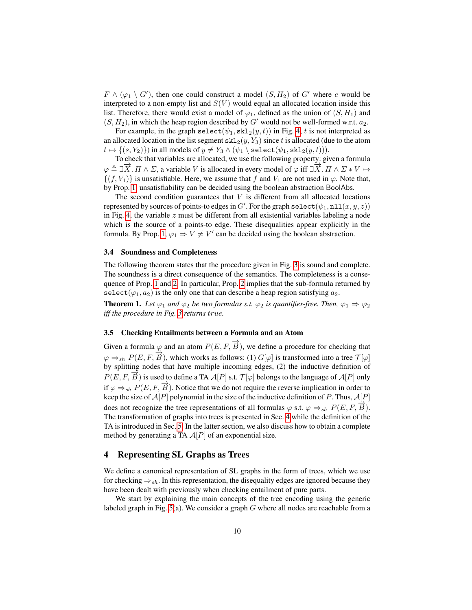$F \wedge (\varphi_1 \setminus G')$ , then one could construct a model  $(S, H_2)$  of  $G'$  where e would be interpreted to a non-empty list and  $S(V)$  would equal an allocated location inside this list. Therefore, there would exist a model of  $\varphi_1$ , defined as the union of  $(S, H_1)$  and  $(S, H<sub>2</sub>)$ , in which the heap region described by G' would not be well-formed w.r.t.  $a<sub>2</sub>$ .

For example, in the graph select $(\psi_1, \text{skl}_2(y, t))$  in Fig. [4,](#page-8-0) t is not interpreted as an allocated location in the list segment  $\text{skl}_2(y, Y_3)$  since t is allocated (due to the atom  $t \mapsto \{(s, Y_2)\}\)$  in all models of  $y \neq Y_3 \wedge (\psi_1 \setminus \text{select}(\psi_1, \text{skl}_2(y, t))).$ 

To check that variables are allocated, we use the following property: given a formula  $\varphi \triangleq \exists \vec{X}$ .  $\Pi \wedge \Sigma$ , a variable V is allocated in every model of  $\varphi$  iff  $\exists \vec{X}$ .  $\Pi \wedge \Sigma^* V \mapsto$  $\{(f, V_1)\}\$ is unsatisfiable. Here, we assume that f and  $V_1$  are not used in  $\varphi$ . Note that, by Prop. [1,](#page-9-1) unsatisfiability can be decided using the boolean abstraction BoolAbs.

The second condition guarantees that  $V$  is different from all allocated locations represented by sources of points-to edges in  $G'$ . For the graph select  $(\psi_1, \texttt{nll}(x, y, z))$ in Fig. [4,](#page-8-0) the variable  $z$  must be different from all existential variables labeling a node which is the source of a points-to edge. These disequalities appear explicitly in the formula. By Prop. [1,](#page-9-1)  $\varphi_1 \Rightarrow V \neq V'$  can be decided using the boolean abstraction.

#### 3.4 Soundness and Completeness

The following theorem states that the procedure given in Fig. [3](#page-7-0) is sound and complete. The soundness is a direct consequence of the semantics. The completeness is a consequence of Prop. [1](#page-9-1) and [2.](#page-9-2) In particular, Prop. [2](#page-9-2) implies that the sub-formula returned by select( $\varphi_1, a_2$ ) is the only one that can describe a heap region satisfying  $a_2$ .

**Theorem 1.** Let  $\varphi_1$  and  $\varphi_2$  be two formulas s.t.  $\varphi_2$  is quantifier-free. Then,  $\varphi_1 \Rightarrow \varphi_2$ *iff the procedure in Fig. [3](#page-7-0) returns* true*.*

#### <span id="page-11-0"></span>3.5 Checking Entailments between a Formula and an Atom

Given a formula  $\varphi$  and an atom  $P(E, F, \overrightarrow{B})$ , we define a procedure for checking that  $\varphi \Rightarrow_{sh} P(E, F, \overrightarrow{B})$ , which works as follows: (1)  $G[\varphi]$  is transformed into a tree  $\mathcal{T}[\varphi]$ by splitting nodes that have multiple incoming edges, (2) the inductive definition of  $P(E, F, \overrightarrow{B})$  is used to define a TA  $\mathcal{A}[P]$  s.t.  $\mathcal{T}[\varphi]$  belongs to the language of  $\mathcal{A}[P]$  only if  $\varphi \Rightarrow_{sh} P(E, F, \overrightarrow{B})$ . Notice that we do not require the reverse implication in order to keep the size of  $A[P]$  polynomial in the size of the inductive definition of P. Thus,  $A[P]$ does not recognize the tree representations of all formulas  $\varphi$  s.t.  $\varphi \Rightarrow_{sh} P(E, F, \overrightarrow{B})$ . The transformation of graphs into trees is presented in Sec. [4](#page-11-1) while the definition of the TA is introduced in Sec. [5.](#page-14-0) In the latter section, we also discuss how to obtain a complete method by generating a TA  $A[P]$  of an exponential size.

#### <span id="page-11-1"></span>4 Representing SL Graphs as Trees

We define a canonical representation of SL graphs in the form of trees, which we use for checking  $\Rightarrow_{sh}$ . In this representation, the disequality edges are ignored because they have been dealt with previously when checking entailment of pure parts.

We start by explaining the main concepts of the tree encoding using the generic labeled graph in Fig.  $5(a)$ . We consider a graph G where all nodes are reachable from a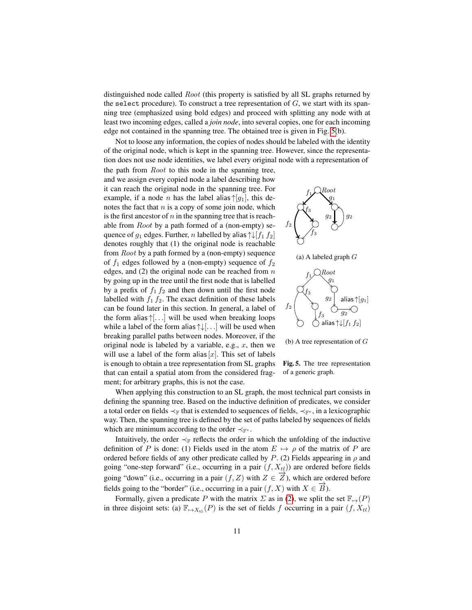distinguished node called *Root* (this property is satisfied by all SL graphs returned by the select procedure). To construct a tree representation of  $G$ , we start with its spanning tree (emphasized using bold edges) and proceed with splitting any node with at least two incoming edges, called a *join node*, into several copies, one for each incoming edge not contained in the spanning tree. The obtained tree is given in Fig. [5\(](#page-12-0)b).

Not to loose any information, the copies of nodes should be labeled with the identity of the original node, which is kept in the spanning tree. However, since the representation does not use node identities, we label every original node with a representation of

the path from Root to this node in the spanning tree, and we assign every copied node a label describing how it can reach the original node in the spanning tree. For example, if a node *n* has the label alias  $\uparrow [g_1]$ , this denotes the fact that  $n$  is a copy of some join node, which is the first ancestor of  $n$  in the spanning tree that is reachable from Root by a path formed of a (non-empty) sequence of  $g_1$  edges. Further, n labelled by alias  $\uparrow \downarrow [f_1 \, f_2]$ denotes roughly that (1) the original node is reachable from Root by a path formed by a (non-empty) sequence of  $f_1$  edges followed by a (non-empty) sequence of  $f_2$ edges, and  $(2)$  the original node can be reached from n by going up in the tree until the first node that is labelled by a prefix of  $f_1 f_2$  and then down until the first node labelled with  $f_1 f_2$ . The exact definition of these labels can be found later in this section. In general, a label of the form alias  $\uparrow$ [...] will be used when breaking loops while a label of the form alias  $\uparrow \downarrow$ [...] will be used when breaking parallel paths between nodes. Moreover, if the original node is labeled by a variable, e.g.,  $x$ , then we will use a label of the form alias  $[x]$ . This set of labels is enough to obtain a tree representation from SL graphs that can entail a spatial atom from the considered fragment; for arbitrary graphs, this is not the case.



(a) A labeled graph G



(b) A tree representation of  $G$ 

<span id="page-12-0"></span>Fig. 5. The tree representation of a generic graph.

When applying this construction to an SL graph, the most technical part consists in defining the spanning tree. Based on the inductive definition of predicates, we consider a total order on fields  $\prec_{\mathbb{F}}$  that is extended to sequences of fields,  $\prec_{\mathbb{F}^*}$ , in a lexicographic way. Then, the spanning tree is defined by the set of paths labeled by sequences of fields which are minimum according to the order  $\prec_{\mathbb{F}^*}$ .

Intuitively, the order  $\prec_F$  reflects the order in which the unfolding of the inductive definition of P is done: (1) Fields used in the atom  $E \mapsto \rho$  of the matrix of P are ordered before fields of any other predicate called by  $P$ . (2) Fields appearing in  $\rho$  and going "one-step forward" (i.e., occurring in a pair  $(f, X_{t})$ ) are ordered before fields going "down" (i.e., occurring in a pair  $(f, Z)$  with  $Z \in \overline{Z}$ ), which are ordered before fields going to the "border" (i.e., occurring in a pair  $(f, X)$  with  $X \in \overrightarrow{B}$ ).

Formally, given a predicate P with the matrix  $\Sigma$  as in [\(2\)](#page-4-0), we split the set  $\mathbb{F}_{\mapsto}(P)$ in three disjoint sets: (a)  $\mathbb{F}_{\mapsto X_{t}}(P)$  is the set of fields f occurring in a pair  $(f, X_{t})$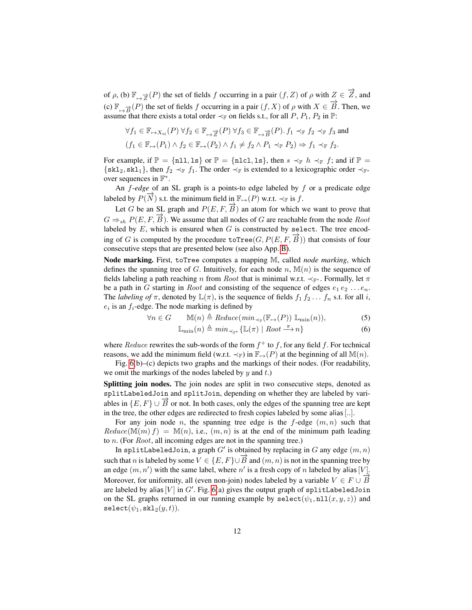of  $\rho$ , (b)  $\mathbb{F}_{\mapsto \overrightarrow{Z}}(P)$  the set of fields  $f$  occurring in a pair  $(f, Z)$  of  $\rho$  with  $Z \in \overrightarrow{Z}$ , and (c)  $\mathbb{F}_{\to \overrightarrow{B}}(P)$  the set of fields f occurring in a pair  $(f, X)$  of  $\rho$  with  $X \in \overrightarrow{B}$ . Then, we assume that there exists a total order  $\prec_{\mathbb{F}}$  on fields s.t., for all P,  $P_1$ ,  $P_2$  in  $\mathbb{P}$ :

$$
\forall f_1 \in \mathbb{F}_{\mapsto X_{\text{tl}}}(P) \,\forall f_2 \in \mathbb{F}_{\mapsto \overrightarrow{Z}}(P) \,\forall f_3 \in \mathbb{F}_{\mapsto \overrightarrow{B}}(P). \, f_1 \prec_{\mathbb{F}} f_2 \prec_{\mathbb{F}} f_3 \text{ and}
$$
  
\n
$$
(f_1 \in \mathbb{F}_{\mapsto}(P_1) \wedge f_2 \in \mathbb{F}_{\mapsto}(P_2) \wedge f_1 \neq f_2 \wedge P_1 \prec_{\mathbb{F}} P_2) \Rightarrow f_1 \prec_{\mathbb{F}} f_2.
$$

For example, if  $\mathbb{P} = \{\text{nl1}, \text{ls}\}\$  or  $\mathbb{P} = \{\text{nlc1}, \text{ls}\}\$ , then  $s \prec_{\mathbb{F}} h \prec_{\mathbb{F}} f$ ; and if  $\mathbb{P} =$  ${skl}_2, skl_1$ , then  $f_2 \prec_F f_1$ . The order  $\prec_F$  is extended to a lexicographic order  $\prec_{\mathbb{F}^*}$ over sequences in  $\mathbb{F}^*$ .

An f*-edge* of an SL graph is a points-to edge labeled by f or a predicate edge labeled by  $P(\vec{N})$  s.t. the minimum field in  $\mathbb{F}_{\mapsto}(P)$  w.r.t.  $\prec_{\mathbb{F}}$  is f.

Let G be an SL graph and  $P(E, F, \overrightarrow{B})$  an atom for which we want to prove that  $G \Rightarrow_{sh} P(E, F, \overrightarrow{B})$ . We assume that all nodes of G are reachable from the node *Root* labeled by  $E$ , which is ensured when  $G$  is constructed by select. The tree encoding of G is computed by the procedure  $\text{toTree}(G, P(E, F, \overrightarrow{B}))$  that consists of four consecutive steps that are presented below (see also App. [B\)](#page-22-1).

Node marking. First, toTree computes a mapping M, called *node marking*, which defines the spanning tree of G. Intuitively, for each node n,  $\mathbb{M}(n)$  is the sequence of fields labeling a path reaching n from *Root* that is minimal w.r.t.  $\prec_{\mathbb{F}^*}$ . Formally, let  $\pi$ be a path in G starting in *Root* and consisting of the sequence of edges  $e_1 e_2 \ldots e_n$ . The *labeling of*  $\pi$ , denoted by  $\mathbb{L}(\pi)$ , is the sequence of fields  $f_1 f_2 \dots f_n$  s.t. for all i,  $e_i$  is an  $f_i$ -edge. The node marking is defined by

$$
\forall n \in G \qquad \mathbb{M}(n) \triangleq Reduce(\min_{\prec_{\mathbb{F}}} (\mathbb{F}_{\mapsto}(P)) \mathbb{L}_{\min}(n)), \qquad (5)
$$

$$
\mathbb{L}_{\min}(n) \triangleq \min_{\prec_{\mathbb{F}^*}} \{ \mathbb{L}(\pi) \mid \text{Root} \xrightarrow{\pi} n \}
$$
 (6)

where Reduce rewrites the sub-words of the form  $f^+$  to f, for any field f. For technical reasons, we add the minimum field (w.r.t.  $\prec_{\mathbb{F}}$ ) in  $\mathbb{F}_{\mapsto}(P)$  at the beginning of all  $\mathbb{M}(n)$ .

Fig. [6\(](#page-15-0)b)–(c) depicts two graphs and the markings of their nodes. (For readability, we omit the markings of the nodes labeled by  $y$  and  $t$ .)

Splitting join nodes. The join nodes are split in two consecutive steps, denoted as splitLabeledJoin and splitJoin, depending on whether they are labeled by variables in  $\{E, F\} \cup \overrightarrow{B}$  or not. In both cases, only the edges of the spanning tree are kept in the tree, the other edges are redirected to fresh copies labeled by some alias...

For any join node n, the spanning tree edge is the  $f$ -edge  $(m, n)$  such that  $Reduce(M(m) f) = M(n)$ , i.e.,  $(m, n)$  is at the end of the minimum path leading to n. (For Root, all incoming edges are not in the spanning tree.)

In splitLabeledJoin, a graph  $G'$  is obtained by replacing in  $G$  any edge  $(m, n)$ such that n is labeled by some  $V \in \{E, F\} \cup \overline{B}$  and  $(m, n)$  is not in the spanning tree by an edge  $(m, n')$  with the same label, where  $n'$  is a fresh copy of n labeled by alias [V]. Moreover, for uniformity, all (even non-join) nodes labeled by a variable  $V \in F \cup \overrightarrow{B}$ are labeled by alias  $[V]$  in  $G^{\prime}$ . Fig. [6\(](#page-15-0)a) gives the output graph of  $\texttt{splitLabeledJoin}$ on the SL graphs returned in our running example by  $\text{select}(\psi_1, \text{nll}(x, y, z))$  and  $\texttt{select}(\psi_1, \texttt{skl}_2(y, t)).$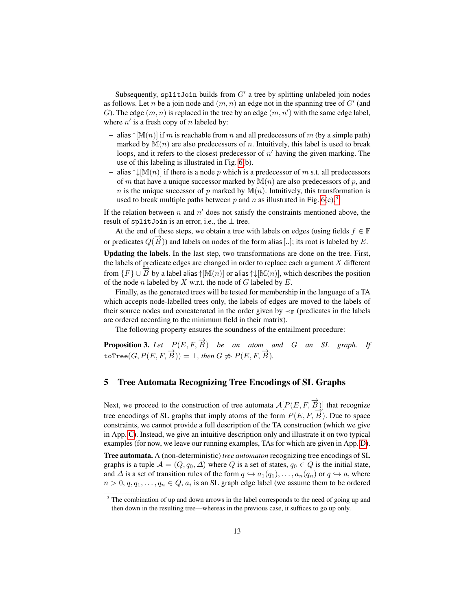Subsequently, splitJoin builds from  $G'$  a tree by splitting unlabeled join nodes as follows. Let *n* be a join node and  $(m, n)$  an edge not in the spanning tree of G' (and G). The edge  $(m, n)$  is replaced in the tree by an edge  $(m, n')$  with the same edge label, where  $n'$  is a fresh copy of n labeled by:

- alias  $\uparrow$ [M(n)] if m is reachable from n and all predecessors of m (by a simple path) marked by  $\mathbb{M}(n)$  are also predecessors of n. Intuitively, this label is used to break loops, and it refers to the closest predecessor of  $n'$  having the given marking. The use of this labeling is illustrated in Fig. [6\(](#page-15-0)b).
- alias  $\uparrow\downarrow$ [M[n]] if there is a node p which is a predecessor of m s.t. all predecessors of m that have a unique successor marked by  $\mathbb{M}(n)$  are also predecessors of p, and *n* is the unique successor of p marked by  $\mathbb{M}(n)$ . Intuitively, this transformation is used to break multiple paths between p and n as illustrated in Fig.  $6(c)$ .<sup>[3](#page-14-1)</sup>

If the relation between  $n$  and  $n'$  does not satisfy the constraints mentioned above, the result of splitJoin is an error, i.e., the  $\perp$  tree.

At the end of these steps, we obtain a tree with labels on edges (using fields  $f \in \mathbb{F}$ or predicates  $Q(\vec{B})$ ) and labels on nodes of the form alias [...]; its root is labeled by E. Updating the labels. In the last step, two transformations are done on the tree. First,

the labels of predicate edges are changed in order to replace each argument  $X$  different from  $\{F\} \cup \tilde{B}$  by a label alias  $\uparrow$ [M $(n)$ ] or alias  $\uparrow$  [M $(n)$ ], which describes the position of the node n labeled by X w.r.t. the node of G labeled by  $E$ .

Finally, as the generated trees will be tested for membership in the language of a TA which accepts node-labelled trees only, the labels of edges are moved to the labels of their source nodes and concatenated in the order given by  $\prec_F$  (predicates in the labels are ordered according to the minimum field in their matrix).

The following property ensures the soundness of the entailment procedure:

**Proposition 3.** Let  $P(E, F, \overrightarrow{B})$  be an atom and G an SL graph. If  $\texttt{toTree}(G, P(E, F, \overrightarrow{B})) = \bot$ , then  $G \nRightarrow P(E, F, \overrightarrow{B})$ .

## <span id="page-14-0"></span>5 Tree Automata Recognizing Tree Encodings of SL Graphs

Next, we proceed to the construction of tree automata  $\mathcal{A}[P(E, F, \overrightarrow{B})]$  that recognize tree encodings of SL graphs that imply atoms of the form  $P(E, F, \overrightarrow{B})$ . Due to space constraints, we cannot provide a full description of the TA construction (which we give in App. [C\)](#page-22-2). Instead, we give an intuitive description only and illustrate it on two typical examples (for now, we leave our running examples, TAs for which are given in App. [D\)](#page-27-0).

Tree automata. A (non-deterministic) *tree automaton* recognizing tree encodings of SL graphs is a tuple  $A = (Q, q_0, \Delta)$  where Q is a set of states,  $q_0 \in Q$  is the initial state, and  $\Delta$  is a set of transition rules of the form  $q \hookrightarrow a_1(q_1), \ldots, a_n(q_n)$  or  $q \hookrightarrow a$ , where  $n > 0, q, q_1, \ldots, q_n \in Q$ ,  $a_i$  is an SL graph edge label (we assume them to be ordered

<span id="page-14-1"></span><sup>&</sup>lt;sup>3</sup> The combination of up and down arrows in the label corresponds to the need of going up and then down in the resulting tree—whereas in the previous case, it suffices to go up only.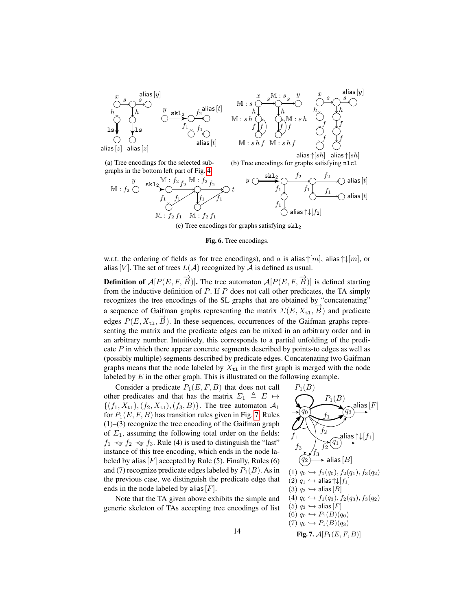

(a) Tree encodings for the selected subgraphs in the bottom left part of Fig. [4.](#page-8-0)

 $\hat{y}$ 





(c) Tree encodings for graphs satisfying  $sk1<sub>2</sub>$ 

#### <span id="page-15-0"></span>Fig. 6. Tree encodings.

w.r.t. the ordering of fields as for tree encodings), and a is alias  $\uparrow[m]$ , alias  $\uparrow\downarrow[m]$ , or alias [V]. The set of trees  $L(A)$  recognized by A is defined as usual.

**Definition of**  $\mathcal{A}[P(E, F, \overrightarrow{B})]$ . The tree automaton  $\mathcal{A}[P(E, F, \overrightarrow{B})]$  is defined starting from the inductive definition of  $P$ . If  $P$  does not call other predicates, the TA simply recognizes the tree encodings of the SL graphs that are obtained by "concatenating" a sequence of Gaifman graphs representing the matrix  $\Sigma(E, X_{t_1}, \overrightarrow{B})$  and predicate edges  $P(E, X_{t1}, \overrightarrow{B})$ . In these sequences, occurrences of the Gaifman graphs representing the matrix and the predicate edges can be mixed in an arbitrary order and in an arbitrary number. Intuitively, this corresponds to a partial unfolding of the predicate  $P$  in which there appear concrete segments described by points-to edges as well as (possibly multiple) segments described by predicate edges. Concatenating two Gaifman graphs means that the node labeled by  $X_{t1}$  in the first graph is merged with the node labeled by  $E$  in the other graph. This is illustrated on the following example.

Consider a predicate  $P_1(E, F, B)$  that does not call other predicates and that has the matrix  $\Sigma_1 \triangleq E \mapsto$  $\{(f_1, X_{t1}), (f_2, X_{t1}), (f_3, B)\}.$  The tree automaton  $\mathcal{A}_1$ for  $P_1(E, F, B)$  has transition rules given in Fig. [7.](#page-15-1) Rules (1)–(3) recognize the tree encoding of the Gaifman graph of  $\Sigma_1$ , assuming the following total order on the fields:  $f_1 \prec_{\mathbb{F}} f_2 \prec_{\mathbb{F}} f_3$ . Rule (4) is used to distinguish the "last" instance of this tree encoding, which ends in the node labeled by alias  $[F]$  accepted by Rule (5). Finally, Rules (6) and (7) recognize predicate edges labeled by  $P_1(B)$ . As in the previous case, we distinguish the predicate edge that ends in the node labeled by alias  $[F]$ .

Note that the TA given above exhibits the simple and generic skeleton of TAs accepting tree encodings of list

<span id="page-15-1"></span>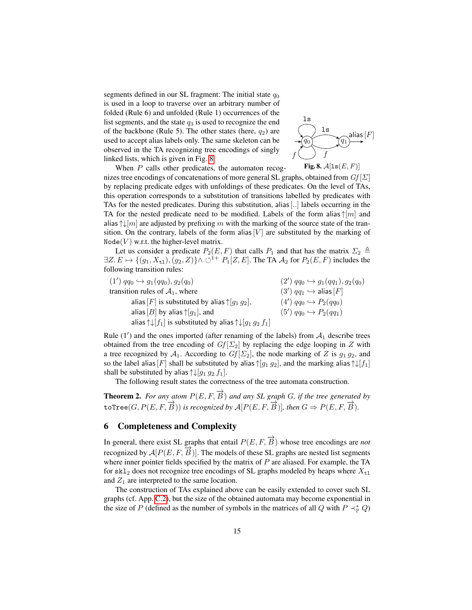segments defined in our SL fragment: The initial state  $q_0$ is used in a loop to traverse over an arbitrary number of folded (Rule 6) and unfolded (Rule 1) occurrences of the list segments, and the state  $q_3$  is used to recognize the end of the backbone (Rule 5). The other states (here,  $q_2$ ) are used to accept alias labels only. The same skeleton can be observed in the TA recognizing tree encodings of singly linked lists, which is given in Fig. [8.](#page-16-0)

<span id="page-16-0"></span>

When P calls other predicates, the automaton recog- Fig. 8.  $A[1s(E, F)]$ 

nizes tree encodings of concatenations of more general SL graphs, obtained from  $Gf[\Sigma]$ by replacing predicate edges with unfoldings of these predicates. On the level of TAs, this operation corresponds to a substitution of transitions labelled by predicates with TAs for the nested predicates. During this substitution, alias [...] labels occurring in the TA for the nested predicate need to be modified. Labels of the form alias  $\uparrow$ [m] and alias  $\uparrow \downarrow [m]$  are adjusted by prefixing m with the marking of the source state of the transition. On the contrary, labels of the form alias  $[V]$  are substituted by the marking of Node( $V$ ) w.r.t. the higher-level matrix.

Let us consider a predicate  $P_2(E, F)$  that calls  $P_1$  and that has the matrix  $\Sigma_2 \triangleq$  $\exists Z.E \mapsto \{(g_1, X_{t1}), (g_2, Z)\} \wedge \bigcirc^{1+} P_1[Z, E]$ . The TA  $\mathcal{A}_2$  for  $P_2(E, F)$  includes the following transition rules:

| $(1') q q_0 \hookrightarrow g_1(q q_0), g_2(q_0)$                                           | $(2') q q_0 \hookrightarrow g_1(q q_1), g_2(q_0)$ |
|---------------------------------------------------------------------------------------------|---------------------------------------------------|
| transition rules of $A_1$ , where                                                           | $(3')$ $qq_1 \hookrightarrow$ alias $[F]$         |
| alias [F] is substituted by alias $\uparrow$ [ $g_1 g_2$ ],                                 | $(4')$ $qq_0 \hookrightarrow P_2(qq_0)$           |
| alias [B] by alias $\uparrow$ [ $q_1$ ], and                                                | $(5')$ $qq_0 \hookrightarrow P_2(qq_1)$           |
| alias $\uparrow\downarrow[f_1]$ is substituted by alias $\uparrow\downarrow[g_1\ g_2\ f_1]$ |                                                   |

Rule (1') and the ones imported (after renaming of the labels) from  $A_1$  describe trees obtained from the tree encoding of  $Gf[\Sigma_2]$  by replacing the edge looping in Z with a tree recognized by  $A_1$ . According to  $Gf[\Sigma_2]$ , the node marking of Z is  $g_1 g_2$ , and so the label alias [F] shall be substituted by alias  $\uparrow$ [ $g_1 g_2$ ], and the marking alias  $\uparrow \downarrow$ [ $f_1$ ] shall be substituted by alias  $\uparrow \downarrow [g_1 \, g_2 \, f_1].$ 

The following result states the correctness of the tree automata construction.

**Theorem 2.** For any atom  $P(E, F, \overrightarrow{B})$  and any SL graph G, if the tree generated by  $\mathcal{L} = \{ G, P(E, F, \overrightarrow{B}) \}$  *is recognized by*  $\mathcal{A}[P(E, F, \overrightarrow{B})]$ *, then*  $G \Rightarrow P(E, F, \overrightarrow{B})$ *.* 

#### 6 Completeness and Complexity

In general, there exist SL graphs that entail  $P(E, F, \overrightarrow{B})$  whose tree encodings are *not* recognized by  $A[P(E, F, \overrightarrow{B})]$ . The models of these SL graphs are nested list segments where inner pointer fields specified by the matrix of  $P$  are aliased. For example, the TA for  $\text{skl}_2$  does not recognize tree encodings of SL graphs modeled by heaps where  $X_{t_1}$ and  $Z_1$  are interpreted to the same location.

The construction of TAs explained above can be easily extended to cover such SL graphs (cf. App. [C.2\)](#page-26-0), but the size of the obtained automata may become exponential in the size of P (defined as the number of symbols in the matrices of all Q with  $P \prec_{\mathbb{P}}^* Q$ )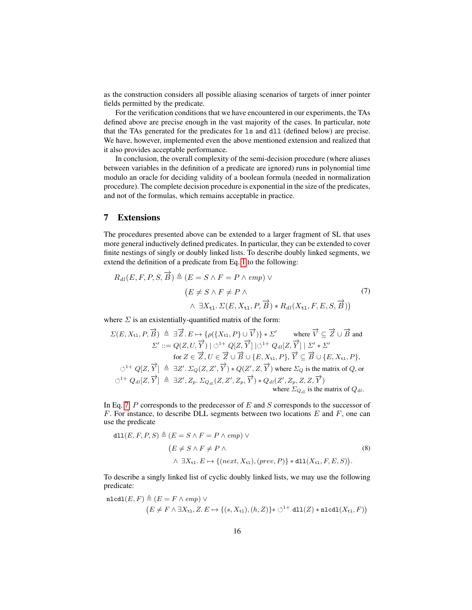as the construction considers all possible aliasing scenarios of targets of inner pointer fields permitted by the predicate.

For the verification conditions that we have encountered in our experiments, the TAs defined above are precise enough in the vast majority of the cases. In particular, note that the TAs generated for the predicates for ls and dll (defined below) are precise. We have, however, implemented even the above mentioned extension and realized that it also provides acceptable performance.

In conclusion, the overall complexity of the semi-decision procedure (where aliases between variables in the definition of a predicate are ignored) runs in polynomial time modulo an oracle for deciding validity of a boolean formula (needed in normalization procedure). The complete decision procedure is exponential in the size of the predicates, and not of the formulas, which remains acceptable in practice.

#### <span id="page-17-1"></span>7 Extensions

The procedures presented above can be extended to a larger fragment of SL that uses more general inductively defined predicates. In particular, they can be extended to cover finite nestings of singly or doubly linked lists. To describe doubly linked segments, we extend the definition of a predicate from Eq. [1](#page-4-2) to the following:

<span id="page-17-0"></span>
$$
R_{dl}(E, F, P, S, \overrightarrow{B}) \triangleq (E = S \wedge F = P \wedge emp) \vee
$$
  
\n
$$
(E \neq S \wedge F \neq P \wedge
$$
  
\n
$$
\wedge \exists X_{t1}. \Sigma(E, X_{t1}, P, \overrightarrow{B}) * R_{dl}(X_{t1}, F, E, S, \overrightarrow{B}))
$$
\n(7)

where  $\Sigma$  is an existentially-quantified matrix of the form:

$$
\Sigma(E, X_{\text{tl}}, P, \overrightarrow{B}) \triangleq \exists \overrightarrow{Z}. E \mapsto \{ \rho(\{X_{\text{tl}}, P\} \cup \overrightarrow{V}) \} * \Sigma' \quad \text{where } \overrightarrow{V} \subseteq \overrightarrow{Z} \cup \overrightarrow{B} \text{ and}
$$
  
\n
$$
\Sigma' ::= Q(Z, U, \overrightarrow{Y}) \mid \bigcirc^{1+} Q[Z, \overrightarrow{Y}] \mid \bigcirc^{1+} Q_{d} [Z, \overrightarrow{Y}] \mid \Sigma' * \Sigma'
$$
  
\nfor  $Z \in \overrightarrow{Z}. U \in \overrightarrow{Z} \cup \overrightarrow{B} \cup \{E, X_{\text{tl}}, P\}, \overrightarrow{Y} \subseteq \overrightarrow{B} \cup \{E, X_{\text{tl}}, P\},$   
\n
$$
\bigcirc^{1+} Q[Z, \overrightarrow{Y}] \triangleq \exists Z'. \Sigma_Q(Z, Z', \overrightarrow{Y}) * Q(Z', Z, \overrightarrow{Y}) \text{ where } \Sigma_Q \text{ is the matrix of } Q, \text{ or}
$$
  
\n
$$
\bigcirc^{1+} Q_{d} [Z, \overrightarrow{Y}] \triangleq \exists Z', Z_p, \Sigma_{Q_{d}l}(Z, Z', Z_p, \overrightarrow{Y}) * Q_{d}l(Z', Z_p, Z, Z, \overrightarrow{Y})
$$
  
\nwhere  $\Sigma_{Q_{d}l}$  is the matrix of  $Q_{d}l$ .

In Eq. [7,](#page-17-0)  $P$  corresponds to the predecessor of  $E$  and  $S$  corresponds to the successor of  $F$ . For instance, to describe DLL segments between two locations  $E$  and  $F$ , one can use the predicate

$$
\text{d11}(E, F, P, S) \triangleq (E = S \land F = P \land emp) \lor
$$
  
\n
$$
(E \neq S \land F \neq P \land
$$
  
\n
$$
\land \exists X_{t1}. E \mapsto \{(next, X_{t1}), (prev, P)\} * \text{d11}(X_{t1}, F, E, S)).
$$
\n(8)

To describe a singly linked list of cyclic doubly linked lists, we may use the following predicate:

$$
\begin{aligned} \mathtt{nlcdl}(E,F) &\triangleq (E=F\wedge\mathit{emp}) \vee \\ &\quad \left(E\neq F\wedge \exists X_{\mathtt{tl}}, Z,E\mapsto \{(s,X_{\mathtt{tl}}),(h,Z)\}*\circlearrowleft^{1+}\mathtt{dll}(Z)*\mathtt{nlcdl}(X_{\mathtt{tl}},F)\right) \end{aligned}
$$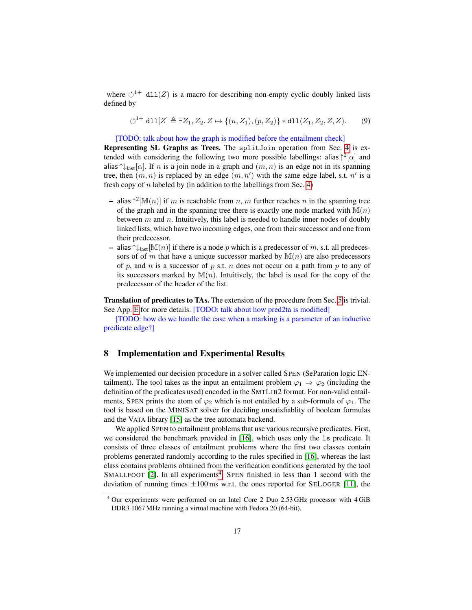where  $\circlearrowleft^{1+}$  dll(Z) is a macro for describing non-empty cyclic doubly linked lists defined by

 $\circlearrowleft^{1+}$  dll $[Z] \triangleq \exists Z_1, Z_2$ .  $Z \mapsto \{(n, Z_1), (p, Z_2)\} *$  dll $(Z_1, Z_2, Z, Z)$ . (9)

[TODO: talk about how the graph is modified before the entailment check]

Representing SL Graphs as Trees. The splitJoin operation from Sec. [4](#page-11-1) is extended with considering the following two more possible labellings: alias  $\uparrow^2[\alpha]$  and alias  $\uparrow\downarrow$ <sub>last</sub>[ $\alpha$ ]. If n is a join node in a graph and  $(m, n)$  is an edge not in its spanning tree, then  $(m, n)$  is replaced by an edge  $(m, n')$  with the same edge label, s.t. n' is a fresh copy of n labeled by (in addition to the labellings from Sec. [4\)](#page-11-1)

- alias  $\uparrow^2$ [M $(n)$ ] if m is reachable from n, m further reaches n in the spanning tree of the graph and in the spanning tree there is exactly one node marked with  $\mathbb{M}(n)$ between  $m$  and  $n$ . Intuitively, this label is needed to handle inner nodes of doubly linked lists, which have two incoming edges, one from their successor and one from their predecessor.
- alias ↑↓last $[\mathbb{M}(n)]$  if there is a node p which is a predecessor of m, s.t. all predecessors of of m that have a unique successor marked by  $\mathbb{M}(n)$  are also predecessors of p, and n is a successor of p s.t. n does not occur on a path from p to any of its successors marked by  $\mathbb{M}(n)$ . Intuitively, the label is used for the copy of the predecessor of the header of the list.

Translation of predicates to TAs. The extension of the procedure from Sec. [5](#page-14-0) is trivial. See App. [E](#page-28-0) for more details. [TODO: talk about how pred2ta is modified]

[TODO: how do we handle the case when a marking is a parameter of an inductive predicate edge?]

## <span id="page-18-1"></span>8 Implementation and Experimental Results

We implemented our decision procedure in a solver called SPEN (SeParation logic ENtailment). The tool takes as the input an entailment problem  $\varphi_1 \Rightarrow \varphi_2$  (including the definition of the predicates used) encoded in the SMTLIB2 format. For non-valid entailments, SPEN prints the atom of  $\varphi_2$  which is not entailed by a sub-formula of  $\varphi_1$ . The tool is based on the MINISAT solver for deciding unsatisfiablity of boolean formulas and the VATA library [\[15\]](#page-21-7) as the tree automata backend.

We applied SPEN to entailment problems that use various recursive predicates. First, we considered the benchmark provided in [\[16\]](#page-21-8), which uses only the ls predicate. It consists of three classes of entailment problems where the first two classes contain problems generated randomly according to the rules specified in [\[16\]](#page-21-8), whereas the last class contains problems obtained from the verification conditions generated by the tool SMALLFOOT [\[2\]](#page-20-3). In all experiments<sup>[4](#page-18-0)</sup>, SPEN finished in less than 1 second with the deviation of running times  $\pm 100$  ms w.r.t. the ones reported for SELOGER [\[11\]](#page-21-9), the

<span id="page-18-0"></span><sup>4</sup> Our experiments were performed on an Intel Core 2 Duo 2.53 GHz processor with 4 GiB DDR3 1067 MHz running a virtual machine with Fedora 20 (64-bit).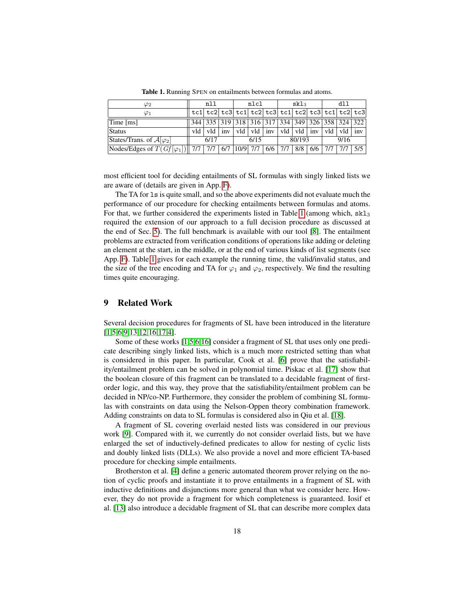| $\varphi_2$                               | nll  |     |      | nlcl |          |           | skla |                                                             |     | dll |     |         |
|-------------------------------------------|------|-----|------|------|----------|-----------|------|-------------------------------------------------------------|-----|-----|-----|---------|
| $\varphi_1$                               |      |     |      |      |          |           |      | tc1 tc2 tc3 tc1 tc2 tc3 tc1 tc2 tc3 tc1 tc2 tc3 tc1 tc2 tc3 |     |     |     |         |
| Time [ms]                                 |      |     |      |      |          |           |      | 344 335 319 318 316 317 334 349 326 358 324 322             |     |     |     |         |
| Status                                    | vld  | vld | inv  | vld  |          | $vld$ inv |      | $vld$ vld                                                   | inv | vld | vld | $\ln v$ |
| States/Trans. of $\mathcal{A}[\varphi_2]$ | 6/17 |     | 6/15 |      | 80/193   |           | 9/16 |                                                             |     |     |     |         |
| Nodes/Edges of $T(Gf[\varphi_1])$    7/7  |      | 7/7 | 6/7  |      | 10/9 7/7 | 6/6       | 7/7  | 8/8                                                         | 6/6 |     |     |         |

<span id="page-19-1"></span>Table 1. Running SPEN on entailments between formulas and atoms.

most efficient tool for deciding entailments of SL formulas with singly linked lists we are aware of (details are given in App. [F\)](#page-28-1).

The TA for ls is quite small, and so the above experiments did not evaluate much the performance of our procedure for checking entailments between formulas and atoms. For that, we further considered the experiments listed in Table [1](#page-19-1) (among which,  $skl_3$ ) required the extension of our approach to a full decision procedure as discussed at the end of Sec. [5\)](#page-14-0). The full benchmark is available with our tool [\[8\]](#page-21-10). The entailment problems are extracted from verification conditions of operations like adding or deleting an element at the start, in the middle, or at the end of various kinds of list segments (see App. [F\)](#page-28-1). Table [1](#page-19-1) gives for each example the running time, the valid/invalid status, and the size of the tree encoding and TA for  $\varphi_1$  and  $\varphi_2$ , respectively. We find the resulting times quite encouraging.

#### <span id="page-19-0"></span>9 Related Work

Several decision procedures for fragments of SL have been introduced in the literature [\[1,](#page-20-1)[5,](#page-20-0)[6,](#page-20-4)[9](#page-21-6)[,13](#page-21-2)[,12](#page-21-4)[,16](#page-21-8)[,17](#page-21-3)[,4\]](#page-20-5).

Some of these works [\[1](#page-20-1)[,5](#page-20-0)[,6](#page-20-4)[,16\]](#page-21-8) consider a fragment of SL that uses only one predicate describing singly linked lists, which is a much more restricted setting than what is considered in this paper. In particular, Cook et al. [\[6\]](#page-20-4) prove that the satisfiability/entailment problem can be solved in polynomial time. Piskac et al. [\[17\]](#page-21-3) show that the boolean closure of this fragment can be translated to a decidable fragment of firstorder logic, and this way, they prove that the satisfiability/entailment problem can be decided in NP/co-NP. Furthermore, they consider the problem of combining SL formulas with constraints on data using the Nelson-Oppen theory combination framework. Adding constraints on data to SL formulas is considered also in Qiu et al. [\[18\]](#page-21-11).

A fragment of SL covering overlaid nested lists was considered in our previous work [\[9\]](#page-21-6). Compared with it, we currently do not consider overlaid lists, but we have enlarged the set of inductively-defined predicates to allow for nesting of cyclic lists and doubly linked lists (DLLs). We also provide a novel and more efficient TA-based procedure for checking simple entailments.

Brotherston et al. [\[4\]](#page-20-5) define a generic automated theorem prover relying on the notion of cyclic proofs and instantiate it to prove entailments in a fragment of SL with inductive definitions and disjunctions more general than what we consider here. However, they do not provide a fragment for which completeness is guaranteed. Iosif et al. [\[13\]](#page-21-2) also introduce a decidable fragment of SL that can describe more complex data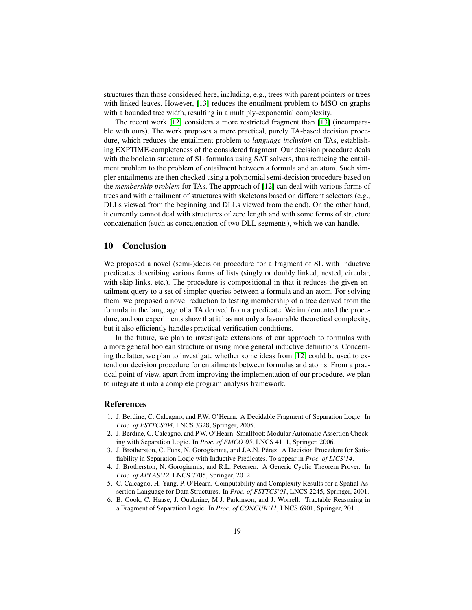structures than those considered here, including, e.g., trees with parent pointers or trees with linked leaves. However, [\[13\]](#page-21-2) reduces the entailment problem to MSO on graphs with a bounded tree width, resulting in a multiply-exponential complexity.

The recent work [\[12\]](#page-21-4) considers a more restricted fragment than [\[13\]](#page-21-2) (incomparable with ours). The work proposes a more practical, purely TA-based decision procedure, which reduces the entailment problem to *language inclusion* on TAs, establishing EXPTIME-completeness of the considered fragment. Our decision procedure deals with the boolean structure of SL formulas using SAT solvers, thus reducing the entailment problem to the problem of entailment between a formula and an atom. Such simpler entailments are then checked using a polynomial semi-decision procedure based on the *membership problem* for TAs. The approach of [\[12\]](#page-21-4) can deal with various forms of trees and with entailment of structures with skeletons based on different selectors (e.g., DLLs viewed from the beginning and DLLs viewed from the end). On the other hand, it currently cannot deal with structures of zero length and with some forms of structure concatenation (such as concatenation of two DLL segments), which we can handle.

## 10 Conclusion

We proposed a novel (semi-)decision procedure for a fragment of SL with inductive predicates describing various forms of lists (singly or doubly linked, nested, circular, with skip links, etc.). The procedure is compositional in that it reduces the given entailment query to a set of simpler queries between a formula and an atom. For solving them, we proposed a novel reduction to testing membership of a tree derived from the formula in the language of a TA derived from a predicate. We implemented the procedure, and our experiments show that it has not only a favourable theoretical complexity, but it also efficiently handles practical verification conditions.

In the future, we plan to investigate extensions of our approach to formulas with a more general boolean structure or using more general inductive definitions. Concerning the latter, we plan to investigate whether some ideas from [\[12\]](#page-21-4) could be used to extend our decision procedure for entailments between formulas and atoms. From a practical point of view, apart from improving the implementation of our procedure, we plan to integrate it into a complete program analysis framework.

#### References

- <span id="page-20-1"></span>1. J. Berdine, C. Calcagno, and P.W. O'Hearn. A Decidable Fragment of Separation Logic. In *Proc. of FSTTCS'04*, LNCS 3328, Springer, 2005.
- <span id="page-20-3"></span>2. J. Berdine, C. Calcagno, and P.W. O'Hearn. Smallfoot: Modular Automatic Assertion Checking with Separation Logic. In *Proc. of FMCO'05*, LNCS 4111, Springer, 2006.
- <span id="page-20-2"></span>3. J. Brotherston, C. Fuhs, N. Gorogiannis, and J.A.N. Perez. A Decision Procedure for Satis- ´ fiability in Separation Logic with Inductive Predicates. To appear in *Proc. of LICS'14*.
- <span id="page-20-5"></span>4. J. Brotherston, N. Gorogiannis, and R.L. Petersen. A Generic Cyclic Theorem Prover. In *Proc. of APLAS'12*, LNCS 7705, Springer, 2012.
- <span id="page-20-0"></span>5. C. Calcagno, H. Yang, P. O'Hearn. Computability and Complexity Results for a Spatial Assertion Language for Data Structures. In *Proc. of FSTTCS'01*, LNCS 2245, Springer, 2001.
- <span id="page-20-4"></span>6. B. Cook, C. Haase, J. Ouaknine, M.J. Parkinson, and J. Worrell. Tractable Reasoning in a Fragment of Separation Logic. In *Proc. of CONCUR'11*, LNCS 6901, Springer, 2011.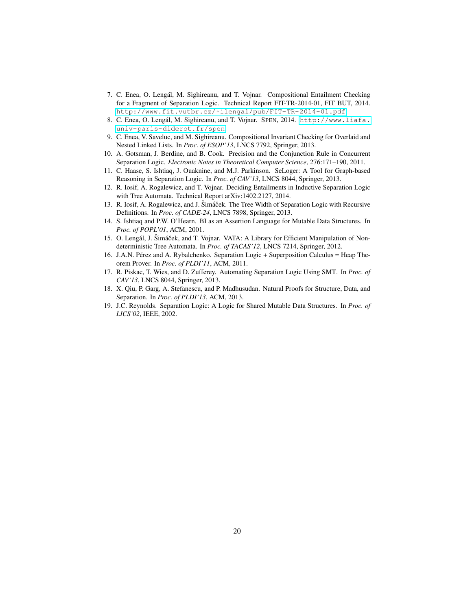- 7. C. Enea, O. Lengal, M. Sighireanu, and T. Vojnar. Compositional Entailment Checking ´ for a Fragment of Separation Logic. Technical Report FIT-TR-2014-01, FIT BUT, 2014. [http://www.fit.vutbr.cz/˜ilengal/pub/FIT-TR-2014-01.pdf](http://www.fit.vutbr.cz/~ilengal/pub/FIT-TR-2014-01.pdf).
- <span id="page-21-10"></span>8. C. Enea, O. Lengál, M. Sighireanu, and T. Vojnar. SPEN, 2014. [http://www.liafa.](http://www.liafa.univ-paris-diderot.fr/spen) [univ-paris-diderot.fr/spen](http://www.liafa.univ-paris-diderot.fr/spen).
- <span id="page-21-6"></span>9. C. Enea, V. Saveluc, and M. Sighireanu. Compositional Invariant Checking for Overlaid and Nested Linked Lists. In *Proc. of ESOP'13*, LNCS 7792, Springer, 2013.
- <span id="page-21-5"></span>10. A. Gotsman, J. Berdine, and B. Cook. Precision and the Conjunction Rule in Concurrent Separation Logic. *Electronic Notes in Theoretical Computer Science*, 276:171–190, 2011.
- <span id="page-21-9"></span>11. C. Haase, S. Ishtiaq, J. Ouaknine, and M.J. Parkinson. SeLoger: A Tool for Graph-based Reasoning in Separation Logic. In *Proc. of CAV'13*, LNCS 8044, Springer, 2013.
- <span id="page-21-4"></span>12. R. Iosif, A. Rogalewicz, and T. Vojnar. Deciding Entailments in Inductive Separation Logic with Tree Automata. Technical Report arXiv:1402.2127, 2014.
- <span id="page-21-2"></span>13. R. Iosif, A. Rogalewicz, and J. Simáček. The Tree Width of Separation Logic with Recursive Definitions. In *Proc. of CADE-24*, LNCS 7898, Springer, 2013.
- <span id="page-21-0"></span>14. S. Ishtiaq and P.W. O'Hearn. BI as an Assertion Language for Mutable Data Structures. In *Proc. of POPL'01*, ACM, 2001.
- <span id="page-21-7"></span>15. O. Lengál, J. Šimáček, and T. Vojnar. VATA: A Library for Efficient Manipulation of Nondeterministic Tree Automata. In *Proc. of TACAS'12*, LNCS 7214, Springer, 2012.
- <span id="page-21-8"></span>16. J.A.N. Perez and A. Rybalchenko. Separation Logic + Superposition Calculus = Heap The- ´ orem Prover. In *Proc. of PLDI'11*, ACM, 2011.
- <span id="page-21-3"></span>17. R. Piskac, T. Wies, and D. Zufferey. Automating Separation Logic Using SMT. In *Proc. of CAV'13*, LNCS 8044, Springer, 2013.
- <span id="page-21-11"></span>18. X. Qiu, P. Garg, A. Stefanescu, and P. Madhusudan. Natural Proofs for Structure, Data, and Separation. In *Proc. of PLDI'13*, ACM, 2013.
- <span id="page-21-1"></span>19. J.C. Reynolds. Separation Logic: A Logic for Shared Mutable Data Structures. In *Proc. of LICS'02*, IEEE, 2002.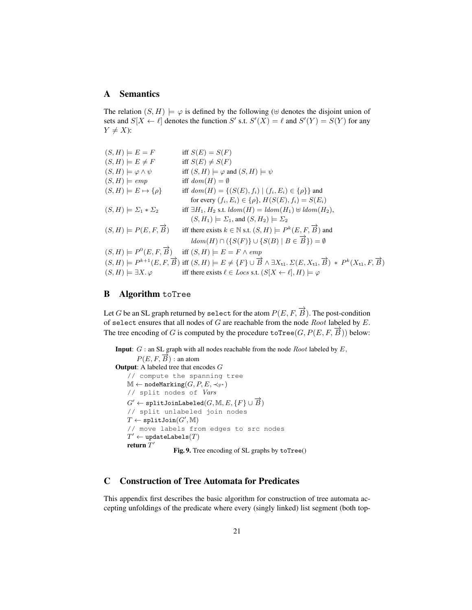## <span id="page-22-0"></span>A Semantics

The relation  $(S, H) \models \varphi$  is defined by the following ( $\forall$  denotes the disjoint union of sets and  $S[X \leftarrow \ell]$  denotes the function S' s.t.  $S'(X) = \ell$  and  $S'(Y) = S(Y)$  for any  $Y \neq X$ :

| $(S, H) \models E = F$                         | iff $S(E) = S(F)$                                                                                                                                                                                                |
|------------------------------------------------|------------------------------------------------------------------------------------------------------------------------------------------------------------------------------------------------------------------|
| $(S, H) \models E \neq F$                      | iff $S(E) \neq S(F)$                                                                                                                                                                                             |
| $(S, H) \models \varphi \land \psi$            | iff $(S, H) \models \varphi$ and $(S, H) \models \psi$                                                                                                                                                           |
| $(S, H) \models emp$                           | iff $dom(H) = \emptyset$                                                                                                                                                                                         |
| $(S, H) \models E \mapsto {\rho}$              | iff $dom(H) = \{(S(E), f_i)   (f_i, E_i) \in \{\rho\}\}\$ and                                                                                                                                                    |
|                                                | for every $(f_i, E_i) \in {\rho}$ , $H(S(E), f_i) = S(E_i)$                                                                                                                                                      |
| $(S, H) \models \Sigma_1 * \Sigma_2$           | iff $\exists H_1, H_2$ s.t. $ldom(H) = Idom(H_1) \oplus Idom(H_2)$ ,                                                                                                                                             |
|                                                | $(S, H_1) \models \Sigma_1$ , and $(S, H_2) \models \Sigma_2$                                                                                                                                                    |
| $(S, H) \models P(E, F, \overrightarrow{B})$   | iff there exists $k \in \mathbb{N}$ s.t. $(S, H) \models P^k(E, F, \overrightarrow{B})$ and                                                                                                                      |
|                                                | $ldom(H) \cap (\{S(F)\} \cup \{S(B) \mid B \in \overrightarrow{B}\}) = \emptyset$                                                                                                                                |
| $(S, H) \models P^0(E, F, \overrightarrow{B})$ | iff $(S, H) \models E = F \land emp$                                                                                                                                                                             |
|                                                | $(S, H) \models P^{k+1}(E, F, \overrightarrow{B})$ iff $(S, H) \models E \neq \{F\} \cup \overrightarrow{B} \land \exists X_{t_1}, \Sigma(E, X_{t_1}, \overrightarrow{B}) * P^k(X_{t_1}, F, \overrightarrow{B})$ |
| $(S, H) \models \exists X. \varphi$            | iff there exists $\ell \in Loss$ s.t. $(S[X \leftarrow \ell], H) \models \varphi$                                                                                                                                |
|                                                |                                                                                                                                                                                                                  |

## <span id="page-22-1"></span>B Algorithm toTree

Let  $G$  be an SL graph returned by select for the atom  $P(E,F,\overrightarrow{B})$ . The post-condition of select ensures that all nodes of  $G$  are reachable from the node  $Root$  labeled by  $E$ . The tree encoding of G is computed by the procedure toTree $(G, P(E, F, \overrightarrow{B}))$  below:

```
Input: G : an SL graph with all nodes reachable from the node Root labeled by E,
         P(E, F, \overrightarrow{B}): an atom
Output: A labeled tree that encodes G
    // compute the spanning tree
    M \leftarrow \text{nodeMarking}(G, P, E, \prec_{\mathbb{F}^*})// split nodes of Vars
     G' \leftarrow \mathtt{splitJoinLabeled}(G, \mathbb{M}, E, \{F\} \cup \overrightarrow{B})// split unlabeled join nodes
     T \leftarrow \texttt{splitJoin}(G', \mathbb{M})// move labels from edges to src nodes
     T' \leftarrow \texttt{updateLabels}(T)return T^{\prime}Fig. 9. Tree encoding of SL graphs by toTree()
```
## <span id="page-22-2"></span>C Construction of Tree Automata for Predicates

This appendix first describes the basic algorithm for construction of tree automata accepting unfoldings of the predicate where every (singly linked) list segment (both top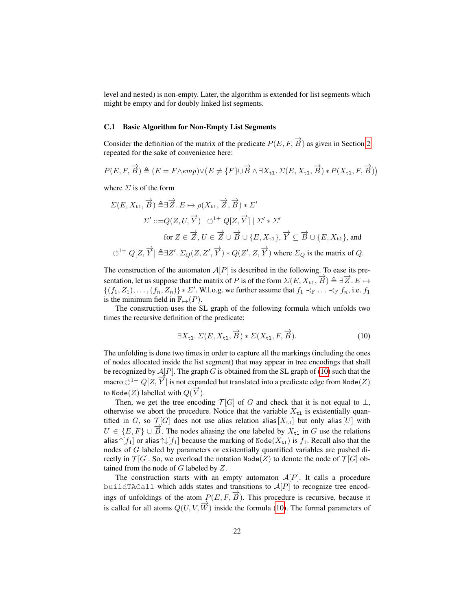level and nested) is non-empty. Later, the algorithm is extended for list segments which might be empty and for doubly linked list segments.

## <span id="page-23-1"></span>C.1 Basic Algorithm for Non-Empty List Segments

Consider the definition of the matrix of the predicate  $P(E, F, \overrightarrow{B})$  as given in Section [2](#page-4-1) repeated for the sake of convenience here:

 $P(E, F, \overrightarrow{B}) \triangleq (E = F \wedge emp) \vee (E \neq \{F\} \cup \overrightarrow{B} \wedge \exists X_{t1} \ldots \Sigma(E, X_{t1}, \overrightarrow{B}) * P(X_{t1}, F, \overrightarrow{B}))$ 

where  $\Sigma$  is of the form

$$
\Sigma(E, X_{\tt tl}, \overrightarrow{B}) \triangleq \exists \overrightarrow{Z}. E \mapsto \rho(X_{\tt tl}, \overrightarrow{Z}, \overrightarrow{B}) * \Sigma'
$$
  

$$
\Sigma' ::= Q(Z, U, \overrightarrow{Y}) \mid \bigcirc^{1+} Q[Z, \overrightarrow{Y}] \mid \Sigma' * \Sigma'
$$
  
for  $Z \in \overrightarrow{Z}, U \in \overrightarrow{Z} \cup \overrightarrow{B} \cup \{E, X_{\tt tl}\}, \overrightarrow{Y} \subseteq \overrightarrow{B} \cup \{E, X_{\tt tl}\},$  and  

$$
\bigcirc^{1+} Q[Z, \overrightarrow{Y}] \triangleq \exists Z'. \Sigma_Q(Z, Z', \overrightarrow{Y}) * Q(Z', Z, \overrightarrow{Y})
$$
 where  $\Sigma_Q$  is the matrix of Q.

The construction of the automaton  $A[P]$  is described in the following. To ease its presentation, let us suppose that the matrix of P is of the form  $\Sigma(E, X_{t1}, \overrightarrow{B}) \triangleq \exists \overrightarrow{Z}$ .  $E \mapsto$  $\{(f_1, Z_1), \ldots, (f_n, Z_n)\}\ast \Sigma'$ . W.l.o.g. we further assume that  $f_1 \prec_{\mathbb{F}} \ldots \prec_{\mathbb{F}} f_n$ , i.e.  $f_1$ is the minimum field in  $\mathbb{F}_{\mapsto}(P)$ .

The construction uses the SL graph of the following formula which unfolds two times the recursive definition of the predicate:

<span id="page-23-0"></span>
$$
\exists X_{\mathtt{tl}}.\ \Sigma(E, X_{\mathtt{tl}}, \overrightarrow{B}) * \Sigma(X_{\mathtt{tl}}, F, \overrightarrow{B}). \tag{10}
$$

The unfolding is done two times in order to capture all the markings (including the ones of nodes allocated inside the list segment) that may appear in tree encodings that shall be recognized by  $A[P]$ . The graph G is obtained from the SL graph of [\(10\)](#page-23-0) such that the macro  $\circ^{1+} Q[Z, \overrightarrow{Y}]$  is not expanded but translated into a predicate edge from Node(Z) to Node(Z) labelled with  $Q(\overrightarrow{Y})$ .

Then, we get the tree encoding  $\mathcal{T}[G]$  of G and check that it is not equal to  $\perp$ , otherwise we abort the procedure. Notice that the variable  $X_{t_1}$  is existentially quantified in G, so  $\mathcal{T}[G]$  does not use alias relation alias  $[X_{t1}]$  but only alias  $[U]$  with  $U \in \{E, F\} \cup \overrightarrow{B}$ . The nodes aliasing the one labeled by  $X_{t1}$  in G use the relations alias  $\uparrow[f_1]$  or alias  $\uparrow\downarrow[f_1]$  because the marking of Node $(X_{t_1})$  is  $f_1$ . Recall also that the nodes of G labeled by parameters or existentially quantified variables are pushed directly in  $\mathcal{T}[G]$ . So, we overload the notation Node(Z) to denote the node of  $\mathcal{T}[G]$  obtained from the node of  $G$  labeled by  $Z$ .

The construction starts with an empty automaton  $A[P]$ . It calls a procedure buildTACall which adds states and transitions to  $A[P]$  to recognize tree encodings of unfoldings of the atom  $P(E, F, \overrightarrow{B})$ . This procedure is recursive, because it is called for all atoms  $Q(U, V, \overline{W})$  inside the formula [\(10\)](#page-23-0). The formal parameters of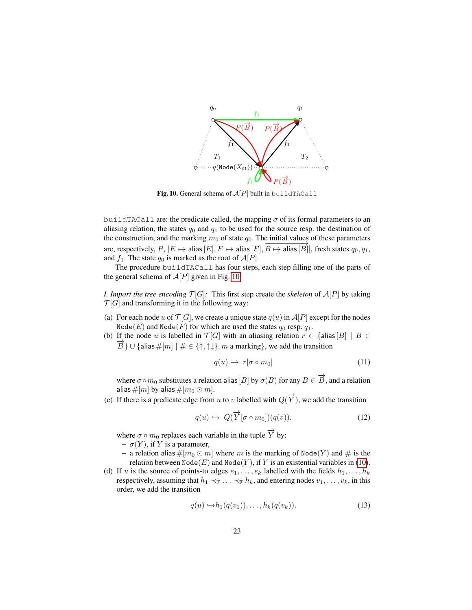

<span id="page-24-0"></span>Fig. 10. General schema of  $A[P]$  built in buildTACall

buildTACall are: the predicate called, the mapping  $\sigma$  of its formal parameters to an aliasing relation, the states  $q_0$  and  $q_1$  to be used for the source resp. the destination of the construction, and the marking  $m_0$  of state  $q_0$ . The initial values of these parameters are, respectively,  $P$ ,  $[E \mapsto \text{alias}[E], F \mapsto \text{alias}[F], B \mapsto \text{alias}[B]]$ , fresh states  $q_0, q_1$ , and  $f_1$ . The state  $q_0$  is marked as the root of  $\mathcal{A}[P]$ .

The procedure buildTACall has four steps, each step filling one of the parts of the general schema of  $A[P]$  given in Fig. [10.](#page-24-0)

*I. Import the tree encoding*  $\mathcal{T}[G]$ : This first step create the *skeleton* of  $\mathcal{A}[P]$  by taking  $\mathcal{T}[G]$  and transforming it in the following way:

- (a) For each node u of  $\mathcal{T}[G]$ , we create a unique state  $q(u)$  in  $\mathcal{A}[P]$  except for the nodes Node(E) and Node(F) for which are used the states  $q_0$  resp.  $q_1$ .
- (b) If the node u is labelled in  $\mathcal{T}[G]$  with an aliasing relation  $r \in \{ \text{alias}[B] \mid B \in \mathcal{F} \}$  $\overrightarrow{B}$   $\cup$  {alias  $\#[m] \mid \# \in \{\uparrow, \uparrow\downarrow\}, m$  a marking}, we add the transition

$$
q(u) \hookrightarrow r[\sigma \circ m_0] \tag{11}
$$

where  $\sigma \circ m_0$  substitutes a relation alias  $[B]$  by  $\sigma(B)$  for any  $B \in \overrightarrow{B}$ , and a relation alias  $\#[m]$  by alias  $\#[m_0 \odot m]$ .

(c) If there is a predicate edge from u to v labelled with  $Q(\overrightarrow{Y})$ , we add the transition

$$
q(u) \hookrightarrow Q(\overrightarrow{Y}[\sigma \circ m_0])(q(v)). \tag{12}
$$

where  $\sigma \circ m_0$  replaces each variable in the tuple  $\overrightarrow{Y}$  by:

- $\sigma(Y)$ , if Y is a parameter,
- a relation alias  $\#[m_0 \odot m]$  where m is the marking of Node(Y) and  $\#$  is the relation between  $\text{Node}(E)$  and  $\text{Node}(Y)$ , if Y is an existential variables in [\(10\)](#page-23-0).
- (d) If u is the source of points-to edges  $e_1, \ldots, e_k$  labelled with the fields  $h_1, \ldots, h_k$ respectively, assuming that  $h_1 \prec_F \ldots \prec_F h_k$ , and entering nodes  $v_1, \ldots, v_k$ , in this order, we add the transition

$$
q(u) \hookrightarrow h_1(q(v_1)), \dots, h_k(q(v_k)). \tag{13}
$$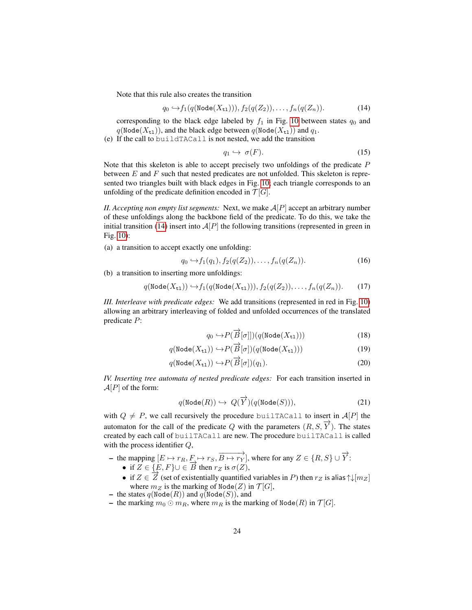Note that this rule also creates the transition

$$
q_0 \hookrightarrow f_1(q(\text{Node}(X_{t1}))), f_2(q(Z_2)), \dots, f_n(q(Z_n)).
$$
\n(14)

corresponding to the black edge labeled by  $f_1$  in Fig. [10](#page-24-0) between states  $q_0$  and  $q(\text{Node}(X_{t_1}))$ , and the black edge between  $q(\text{Node}(X_{t_1}))$  and  $q_1$ .

(e) If the call to buildTACall is not nested, we add the transition

<span id="page-25-0"></span>
$$
q_1 \hookrightarrow \sigma(F). \tag{15}
$$

Note that this skeleton is able to accept precisely two unfoldings of the predicate P between  $E$  and  $F$  such that nested predicates are not unfolded. This skeleton is represented two triangles built with black edges in Fig. [10;](#page-24-0) each triangle corresponds to an unfolding of the predicate definition encoded in  $\mathcal{T}[G]$ .

*II. Accepting non empty list segments:* Next, we make  $A[P]$  accept an arbitrary number of these unfoldings along the backbone field of the predicate. To do this, we take the initial transition [\(14\)](#page-25-0) insert into  $A[P]$  the following transitions (represented in green in Fig. [10\)](#page-24-0):

(a) a transition to accept exactly one unfolding:

$$
q_0 \hookrightarrow f_1(q_1), f_2(q(Z_2)), \dots, f_n(q(Z_n)). \tag{16}
$$

(b) a transition to inserting more unfoldings:

$$
q(\text{Node}(X_{t1})) \hookrightarrow f_1(q(\text{Node}(X_{t1}))), f_2(q(Z_2)), \dots, f_n(q(Z_n)).
$$
 (17)

*III. Interleave with predicate edges:* We add transitions (represented in red in Fig. [10\)](#page-24-0) allowing an arbitrary interleaving of folded and unfolded occurrences of the translated predicate P:

$$
q_0 \hookrightarrow P(\overrightarrow{B}[\sigma]])(q(\text{Node}(X_{t1})))
$$
\n(18)

$$
q(\text{Node}(X_{t1})) \hookrightarrow P(\overrightarrow{B}[\sigma])(q(\text{Node}(X_{t1})))
$$
\n(19)

$$
q(\text{Node}(X_{t1})) \hookrightarrow P(\overrightarrow{B}[\sigma])(q_1). \tag{20}
$$

*IV. Inserting tree automata of nested predicate edges:* For each transition inserted in  $A[P]$  of the form:

$$
q(\text{Node}(R)) \hookrightarrow Q(\overrightarrow{Y})(q(\text{Node}(S))), \tag{21}
$$

with  $Q \neq P$ , we call recursively the procedure builTACall to insert in  $A[P]$  the automaton for the call of the predicate Q with the parameters  $(R, S, \overrightarrow{Y})$ . The states created by each call of builTACall are new. The procedure builTACall is called with the process identifier  $Q$ ,

- the mapping  $[E \mapsto r_R, F] \mapsto r_S, \overrightarrow{B \mapsto r_Y}$ , where for any  $Z \in \{R, S\} \cup \overrightarrow{Y}$ : • if  $Z \in \{E, F\} \cup \{B\}$  then  $r_Z$  is  $\sigma(Z)$ ,

- 
- if  $Z \in \{1, 2, \ldots\}$  and  $Z$  is  $\sigma(Z)$ ,<br>
 if  $Z \in \{Z \text{ (set of existentially quantified variables in } P) \text{ then } r_Z \text{ is alias } \uparrow \downarrow [m_Z]$ where  $m_Z$  is the marking of Node(Z) in  $\mathcal{T}[G]$ ,
- the states  $q(\text{Node}(R))$  and  $q(\text{Node}(S))$ , and
- the marking  $m_0 \odot m_R$ , where  $m_R$  is the marking of Node(R) in  $\mathcal{T}[G]$ .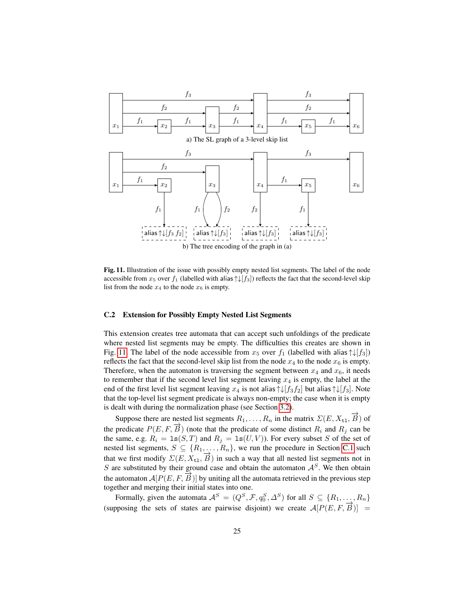

<span id="page-26-1"></span>Fig. 11. Illustration of the issue with possibly empty nested list segments. The label of the node accessible from  $x_5$  over  $f_1$  (labelled with alias  $\uparrow \downarrow [f_3]$ ) reflects the fact that the second-level skip list from the node  $x_4$  to the node  $x_6$  is empty.

#### <span id="page-26-0"></span>C.2 Extension for Possibly Empty Nested List Segments

This extension creates tree automata that can accept such unfoldings of the predicate where nested list segments may be empty. The difficulties this creates are shown in Fig. [11.](#page-26-1) The label of the node accessible from  $x_5$  over  $f_1$  (labelled with alias  $\uparrow \downarrow [f_3]$ ) reflects the fact that the second-level skip list from the node  $x_4$  to the node  $x_6$  is empty. Therefore, when the automaton is traversing the segment between  $x_4$  and  $x_6$ , it needs to remember that if the second level list segment leaving  $x_4$  is empty, the label at the end of the first level list segment leaving  $x_4$  is not alias  $\uparrow \downarrow [f_3f_2]$  but alias  $\uparrow \downarrow [f_3]$ . Note that the top-level list segment predicate is always non-empty; the case when it is empty is dealt with during the normalization phase (see Section [3.2\)](#page-9-0).

Suppose there are nested list segments  $R_1, \ldots, R_n$  in the matrix  $\Sigma(E, X_{t_1}, \overrightarrow{B})$  of the predicate  $P(E, F, \vec{B})$  (note that the predicate of some distinct  $R_i$  and  $R_j$  can be the same, e.g.  $R_i = \text{ls}(S, T)$  and  $R_j = \text{ls}(U, V)$ ). For every subset S of the set of nested list segments,  $S \subseteq \{R_1, \ldots, R_n\}$ , we run the procedure in Section [C.1](#page-23-1) such that we first modify  $\Sigma(E, X_{t_1}, \overrightarrow{B})$  in such a way that all nested list segments not in S are substituted by their ground case and obtain the automaton  $A<sup>S</sup>$ . We then obtain the automaton  $A[P(E, F, \overrightarrow{B})]$  by uniting all the automata retrieved in the previous step together and merging their initial states into one.

Formally, given the automata  $\mathcal{A}^S = (Q^S, \mathcal{F}, q_0^S, \Delta^S)$  for all  $S \subseteq \{R_1, \ldots, R_n\}$ (supposing the sets of states are pairwise disjoint) we create  $\mathcal{A}[P(E, F, \overrightarrow{B})] =$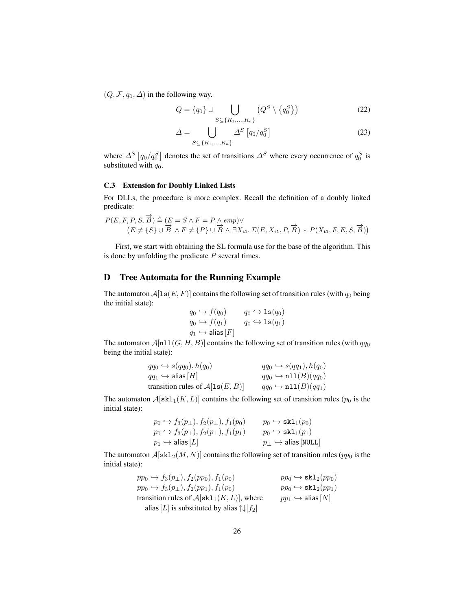$(Q, \mathcal{F}, q_0, \Delta)$  in the following way.

$$
Q = \{q_0\} \cup \bigcup_{S \subseteq \{R_1, ..., R_n\}} \left(Q^S \setminus \{q_0^S\}\right) \tag{22}
$$

$$
\Delta = \bigcup_{S \subseteq \{R_1, \dots, R_n\}} \Delta^S \left[ q_0 / q_0^S \right] \tag{23}
$$

where  $\Delta^S \left[ q_0 / q_0^S \right]$  denotes the set of transitions  $\Delta^S$  where every occurrence of  $q_0^S$  is substituted with  $q_0$ .

#### C.3 Extension for Doubly Linked Lists

For DLLs, the procedure is more complex. Recall the definition of a doubly linked predicate:

$$
P(E, F, P, S, \overrightarrow{B}) \triangleq (E = S \land F = P \land emp) \lor (E \neq \{S\} \cup \overrightarrow{B} \land F \neq \{P\} \cup \overrightarrow{B} \land \exists X_{\mathtt{tl}}. \Sigma(E, X_{\mathtt{tl}}, P, \overrightarrow{B}) * P(X_{\mathtt{tl}}, F, E, S, \overrightarrow{B}))
$$

First, we start with obtaining the SL formula use for the base of the algorithm. This is done by unfolding the predicate  $P$  several times.

## <span id="page-27-0"></span>D Tree Automata for the Running Example

The automaton  $\mathcal{A}[\texttt{ls}(E, F)]$  contains the following set of transition rules (with  $q_0$  being the initial state):

$$
q_0 \hookrightarrow f(q_0) \qquad q_0 \hookrightarrow \text{ls}(q_0)
$$
  
\n
$$
q_0 \hookrightarrow f(q_1) \qquad q_0 \hookrightarrow \text{ls}(q_1)
$$
  
\n
$$
q_1 \hookrightarrow \text{alias}[F]
$$

The automaton  $A[$ nll $(G, H, B)$ ] contains the following set of transition rules (with  $qq_0$ being the initial state):

| $qq_0 \hookrightarrow s(qq_0), h(q_0)$            | $qq_0 \hookrightarrow s(qq_1), h(q_0)$       |
|---------------------------------------------------|----------------------------------------------|
| $qq_1 \hookrightarrow$ alias $[H]$                | $qq_0 \hookrightarrow \texttt{nil}(B)(qq_0)$ |
| transition rules of $\mathcal{A}[\text{ls}(E,B)]$ | $qq_0 \hookrightarrow \texttt{nil}(B)(qq_1)$ |

The automaton  $\mathcal{A}[\text{skl}_1(K, L)]$  contains the following set of transition rules ( $p_0$  is the initial state):

| $p_0 \hookrightarrow f_3(p_\perp), f_2(p_\perp), f_1(p_0)$ | $p_0 \hookrightarrow \mathtt{skl}_1(p_0)$ |
|------------------------------------------------------------|-------------------------------------------|
| $p_0 \hookrightarrow f_3(p_\perp), f_2(p_\perp), f_1(p_1)$ | $p_0 \hookrightarrow \mathtt{skl}_1(p_1)$ |
| $p_1 \hookrightarrow$ alias $ L $                          | $p_{\perp} \hookrightarrow$ alias [NULL]  |

The automaton  $A[**skl**<sub>2</sub>(M, N)]$  contains the following set of transition rules ( $pp_0$  is the initial state):

| $pp_0 \hookrightarrow f_3(p_{\perp}), f_2(pp_0), f_1(p_0)$    | $pp_0 \hookrightarrow$ sk $1_2(pp_0)$ |
|---------------------------------------------------------------|---------------------------------------|
| $pp_0 \hookrightarrow f_3(p_\perp), f_2(pp_1), f_1(p_0)$      | $pp_0 \hookrightarrow$ sk $1_2(pp_1)$ |
| transition rules of $A[skl1(K, L)],$ where                    | $pp_1 \hookrightarrow$ alias $[N]$    |
| alias [L] is substituted by alias $\uparrow \downarrow [f_2]$ |                                       |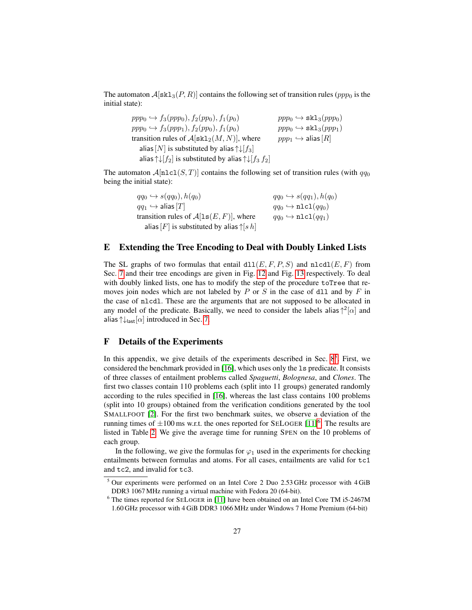The automaton  $A[**skl**<sub>3</sub>(P, R)]$  contains the following set of transition rules ( $ppp<sub>0</sub>$  is the initial state):

| $ppp_0 \hookrightarrow f_3(ppp_0), f_2(pp_0), f_1(p_0)$                                   | $ppp_0 \hookrightarrow$ sk $1_3(ppp_0)$ |
|-------------------------------------------------------------------------------------------|-----------------------------------------|
| $ppp_0 \hookrightarrow f_3(ppp_1), f_2(pp_0), f_1(p_0)$                                   | $ppp_0 \hookrightarrow$ sk $1_3(ppp_1)$ |
| transition rules of $\mathcal{A}[\texttt{skl}_2(M,N)]$ , where                            | $ppp_1 \hookrightarrow$ alias $ R $     |
| alias [N] is substituted by alias $\uparrow \downarrow [f_3]$                             |                                         |
| alias $\uparrow \downarrow [f_2]$ is substituted by alias $\uparrow \downarrow [f_3 f_2]$ |                                         |

The automaton  $A[{\rm n}1c1(S,T)]$  contains the following set of transition rules (with  $qq_0$ ) being the initial state):

| $qq_0 \hookrightarrow s(qq_0), h(q_0)$             | $qq_0 \hookrightarrow s(qq_1), h(q_0)$     |
|----------------------------------------------------|--------------------------------------------|
| $qq_1 \hookrightarrow$ alias $[T]$                 | $qq_0 \hookrightarrow \texttt{nlcl}(qq_0)$ |
| transition rules of $A[ls(E, F)]$ , where          | $qq_0 \hookrightarrow \texttt{nlcl}(qq_1)$ |
| alias [F] is substituted by alias $\uparrow$ [s h] |                                            |

#### <span id="page-28-0"></span>E Extending the Tree Encoding to Deal with Doubly Linked Lists

The SL graphs of two formulas that entail  $d\mathbf{1}(E, F, P, S)$  and  $\mathbf{n}\mathbf{l} c\mathbf{d}(E, F)$  from Sec. [7](#page-17-1) and their tree encodings are given in Fig. [12](#page-29-0) and Fig. [13](#page-30-0) respectively. To deal with doubly linked lists, one has to modify the step of the procedure toTree that removes join nodes which are not labeled by  $P$  or  $S$  in the case of dll and by  $F$  in the case of nlcdl. These are the arguments that are not supposed to be allocated in any model of the predicate. Basically, we need to consider the labels alias  $\uparrow^2[\alpha]$  and alias  $\uparrow\downarrow$ <sub>last</sub>  $[\alpha]$  introduced in Sec. [7.](#page-17-1)

#### <span id="page-28-1"></span>F Details of the Experiments

In this appendix, we give details of the experiments described in Sec.  $8<sup>5</sup>$  $8<sup>5</sup>$  $8<sup>5</sup>$ . First, we considered the benchmark provided in [\[16\]](#page-21-8), which uses only the ls predicate. It consists of three classes of entailment problems called *Spaguetti*, *Bolognesa*, and *Clones*. The first two classes contain 110 problems each (split into 11 groups) generated randomly according to the rules specified in [\[16\]](#page-21-8), whereas the last class contains 100 problems (split into 10 groups) obtained from the verification conditions generated by the tool SMALLFOOT [\[2\]](#page-20-3). For the first two benchmark suites, we observe a deviation of the running times of  $\pm 100$  ms w.r.t. the ones reported for SELOGER [\[11\]](#page-21-9)<sup>[6](#page-28-3)</sup>. The results are listed in Table [2.](#page-29-1) We give the average time for running SPEN on the 10 problems of each group.

In the following, we give the formulas for  $\varphi_1$  used in the experiments for checking entailments between formulas and atoms. For all cases, entailments are valid for tc1 and tc2, and invalid for tc3.

<span id="page-28-2"></span><sup>5</sup> Our experiments were performed on an Intel Core 2 Duo 2.53 GHz processor with 4 GiB DDR3 1067 MHz running a virtual machine with Fedora 20 (64-bit).

<span id="page-28-3"></span><sup>6</sup> The times reported for SELOGER in [\[11\]](#page-21-9) have been obtained on an Intel Core TM i5-2467M 1.60 GHz processor with 4 GiB DDR3 1066 MHz under Windows 7 Home Premium (64-bit)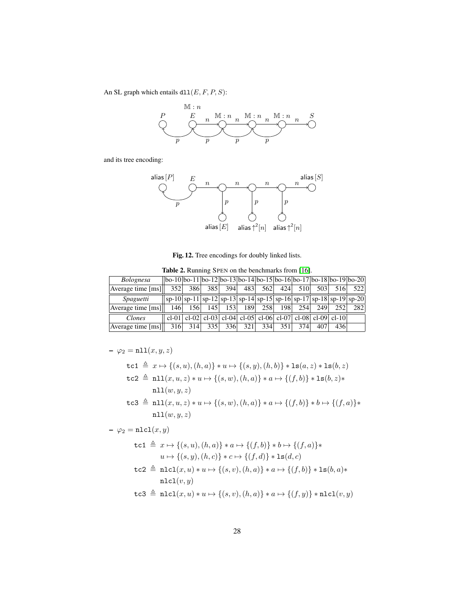An SL graph which entails  $dll(E, F, P, S)$ :



and its tree encoding:



<span id="page-29-1"></span><span id="page-29-0"></span>Fig. 12. Tree encodings for doubly linked lists.

Table 2. Running SPEN on the benchmarks from [\[16\]](#page-21-8).

| <i>Bolognesa</i>  | bo-10  bo-11  bo-12  bo-13  bo-14  bo-15  bo-16  bo-17  bo-18  bo-19  bo-20 |     |      |      |     |         |                  |         |                                                             |     |         |
|-------------------|-----------------------------------------------------------------------------|-----|------|------|-----|---------|------------------|---------|-------------------------------------------------------------|-----|---------|
| Average time [ms] | 352                                                                         | 386 | 385  | 394  | 483 | 562     | 424              | 510     | 503                                                         |     | 516 522 |
| Spaguetti         | $ sp-10 sp-11 sp-12 sp-13 sp-14 sp-15 sp-16 sp-17 sp-18 sp-19 sp-20$        |     |      |      |     |         |                  |         |                                                             |     |         |
| Average time [ms] | 146                                                                         | 156 | 145  | 1531 |     | 189 258 |                  | 198 254 | 249                                                         | 252 | 282     |
| Clones            |                                                                             |     |      |      |     |         |                  |         | cl-01 cl-02 cl-03 cl-04 cl-05 cl-06 cl-07 cl-08 cl-09 cl-10 |     |         |
| Average time [ms] | 316                                                                         | 314 | 3351 | 336  | 321 | 334     | 351 <sup>1</sup> | 3741    | 407                                                         | 436 |         |

 $-\varphi_2 = \texttt{nil}(x, y, z)$ tc1  $\triangleq x \mapsto \{(s, u), (h, a)\} * u \mapsto \{(s, y), (h, b)\} * \text{ls}(a, z) * \text{ls}(b, z)$  $\mathtt{tc2} \triangleq \mathtt{nil}(x, u, z) * u \mapsto \{(s, w), (h, a)\} * a \mapsto \{(f, b)\} * \mathtt{ls}(b, z) *$  $nli(w, y, z)$ tc3  $\triangleq$  nll(x, u, z) \* u  $\mapsto \{(s, w), (h, a)\}$  \* a  $\mapsto \{(f, b)\}$  \* b  $\mapsto \{(f, a)\}$ \*  $nli(w, y, z)$  $-\varphi_2 = \texttt{nlcl}(x, y)$ tc1  $\triangleq x \mapsto \{(s, u), (h, a)\} * a \mapsto \{(f, b)\} * b \mapsto \{(f, a)\} *$  $u \mapsto \{(s, y), (h, c)\} * c \mapsto \{(f, d)\} * \text{ls}(d, c)$ 

$$
\mathtt{tc2} \triangleq \mathtt{nlcl}(x,u) * u \mapsto \{(s,v), (h,a)\} * a \mapsto \{(f,b)\} * \mathtt{ls}(b,a) *
$$
 
$$
\mathtt{nlcl}(v,y)
$$

$$
\mathtt{tc3} \ \triangleq \ \mathtt{nlcl}(x,u) * u \mapsto \{(s,v), (h,a)\} * a \mapsto \{(f,y)\} * \mathtt{nlcl}(v,y)
$$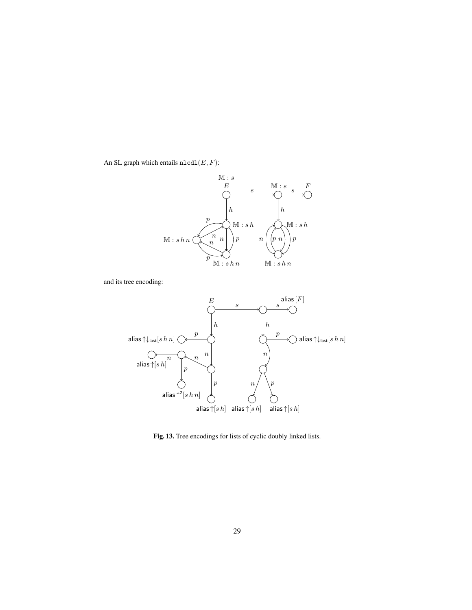An SL graph which entails  $nlcdL(E, F)$ :



and its tree encoding:



<span id="page-30-0"></span>Fig. 13. Tree encodings for lists of cyclic doubly linked lists.